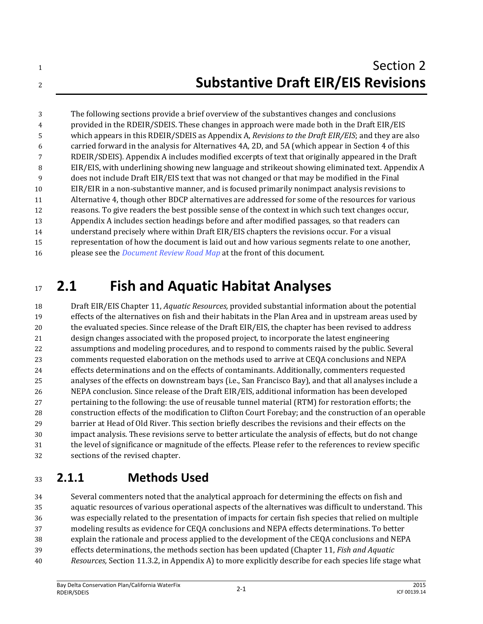The following sections provide a brief overview of the substantives changes and conclusions provided in the RDEIR/SDEIS. These changes in approach were made both in the Draft EIR/EIS which appears in this RDEIR/SDEIS as Appendix A, *Revisions to the Draft EIR/EIS*; and they are also carried forward in the analysis for Alternatives 4A, 2D, and 5A (which appear in Section 4 of this RDEIR/SDEIS)*.* Appendix A includes modified excerpts of text that originally appeared in the Draft EIR/EIS, with underlining showing new language and strikeout showing eliminated text. Appendix A does not include Draft EIR/EIS text that was not changed or that may be modified in the Final EIR/EIR in a non-substantive manner, and is focused primarily nonimpact analysis revisions to Alternative 4, though other BDCP alternatives are addressed for some of the resources for various reasons. To give readers the best possible sense of the context in which such text changes occur, Appendix A includes section headings before and after modified passages, so that readers can understand precisely where within Draft EIR/EIS chapters the revisions occur. For a visual representation of how the document is laid out and how various segments relate to one another, please see the *Document Review Road Map* at the front of this document.

# **2.1 Fish and Aquatic Habitat Analyses**

 Draft EIR/EIS Chapter 11, *Aquatic Resources,* provided substantial information about the potential effects of the alternatives on fish and their habitats in the Plan Area and in upstream areas used by the evaluated species. Since release of the Draft EIR/EIS, the chapter has been revised to address design changes associated with the proposed project, to incorporate the latest engineering assumptions and modeling procedures, and to respond to comments raised by the public. Several comments requested elaboration on the methods used to arrive at CEQA conclusions and NEPA effects determinations and on the effects of contaminants. Additionally, commenters requested analyses of the effects on downstream bays (i.e., San Francisco Bay), and that all analyses include a NEPA conclusion. Since release of the Draft EIR/EIS, additional information has been developed pertaining to the following: the use of reusable tunnel material (RTM) for restoration efforts; the construction effects of the modification to Clifton Court Forebay; and the construction of an operable barrier at Head of Old River. This section briefly describes the revisions and their effects on the impact analysis. These revisions serve to better articulate the analysis of effects, but do not change the level of significance or magnitude of the effects. Please refer to the references to review specific sections of the revised chapter.

### **2.1.1 Methods Used**

 Several commenters noted that the analytical approach for determining the effects on fish and aquatic resources of various operational aspects of the alternatives was difficult to understand. This was especially related to the presentation of impacts for certain fish species that relied on multiple modeling results as evidence for CEQA conclusions and NEPA effects determinations. To better explain the rationale and process applied to the development of the CEQA conclusions and NEPA effects determinations, the methods section has been updated (Chapter 11, *Fish and Aquatic Resources,* Section 11.3.2, in Appendix A) to more explicitly describe for each species life stage what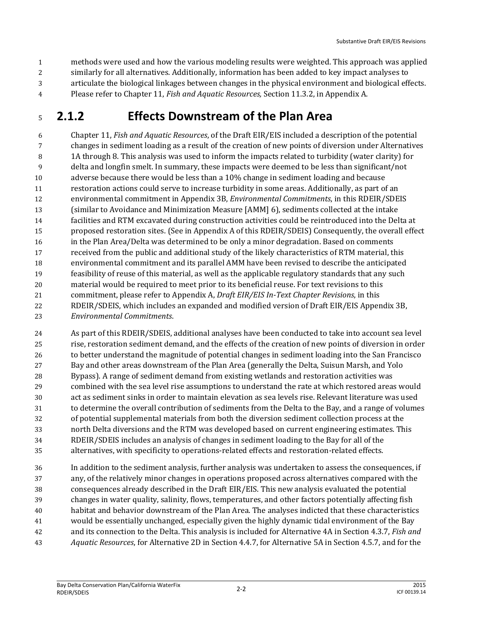methods were used and how the various modeling results were weighted. This approach was applied similarly for all alternatives. Additionally, information has been added to key impact analyses to articulate the biological linkages between changes in the physical environment and biological effects. Please refer to Chapter 11, *Fish and Aquatic Resources,* Section 11.3.2, in Appendix A.

#### **2.1.2 Effects Downstream of the Plan Area**

 Chapter 11, *Fish and Aquatic Resources*, of the Draft EIR/EIS included a description of the potential changes in sediment loading as a result of the creation of new points of diversion under Alternatives 1A through 8. This analysis was used to inform the impacts related to turbidity (water clarity) for delta and longfin smelt. In summary, these impacts were deemed to be less than significant/not adverse because there would be less than a 10% change in sediment loading and because restoration actions could serve to increase turbidity in some areas. Additionally, as part of an environmental commitment in Appendix 3B, *Environmental Commitments*, in this RDEIR/SDEIS (similar to Avoidance and Minimization Measure [AMM] 6), sediments collected at the intake facilities and RTM excavated during construction activities could be reintroduced into the Delta at proposed restoration sites. (See in Appendix A of this RDEIR/SDEIS) Consequently, the overall effect in the Plan Area/Delta was determined to be only a minor degradation. Based on comments received from the public and additional study of the likely characteristics of RTM material, this environmental commitment and its parallel AMM have been revised to describe the anticipated feasibility of reuse of this material, as well as the applicable regulatory standards that any such material would be required to meet prior to its beneficial reuse. For text revisions to this commitment, please refer to Appendix A, *Draft EIR/EIS In-Text Chapter Revisions*, in this RDEIR/SDEIS, which includes an expanded and modified version of Draft EIR/EIS Appendix 3B, *Environmental Commitments*.

 As part of this RDEIR/SDEIS, additional analyses have been conducted to take into account sea level rise, restoration sediment demand, and the effects of the creation of new points of diversion in order to better understand the magnitude of potential changes in sediment loading into the San Francisco Bay and other areas downstream of the Plan Area (generally the Delta, Suisun Marsh, and Yolo Bypass). A range of sediment demand from existing wetlands and restoration activities was combined with the sea level rise assumptions to understand the rate at which restored areas would act as sediment sinks in order to maintain elevation as sea levels rise. Relevant literature was used to determine the overall contribution of sediments from the Delta to the Bay, and a range of volumes of potential supplemental materials from both the diversion sediment collection process at the north Delta diversions and the RTM was developed based on current engineering estimates. This RDEIR/SDEIS includes an analysis of changes in sediment loading to the Bay for all of the alternatives, with specificity to operations-related effects and restoration-related effects.

 In addition to the sediment analysis, further analysis was undertaken to assess the consequences, if any, of the relatively minor changes in operations proposed across alternatives compared with the consequences already described in the Draft EIR/EIS. This new analysis evaluated the potential changes in water quality, salinity, flows, temperatures, and other factors potentially affecting fish habitat and behavior downstream of the Plan Area. The analyses indicted that these characteristics would be essentially unchanged, especially given the highly dynamic tidal environment of the Bay and its connection to the Delta. This analysis is included for Alternative 4A in Section 4.3.7, *Fish and Aquatic Resources*, for Alternative 2D in Section 4.4.7, for Alternative 5A in Section 4.5.7, and for the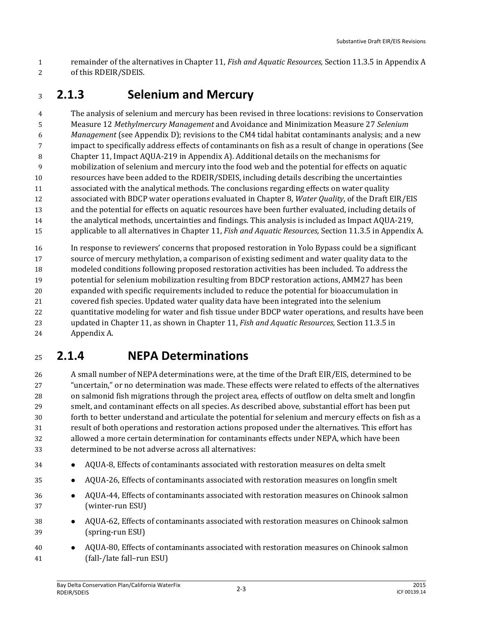remainder of the alternatives in Chapter 11, *Fish and Aquatic Resources,* Section 11.3.5 in Appendix A of this RDEIR/SDEIS.

### **2.1.3 Selenium and Mercury**

 The analysis of selenium and mercury has been revised in three locations: revisions to Conservation Measure 12 *Methylmercury Management* and Avoidance and Minimization Measure 27 *Selenium Management* (see Appendix D); revisions to the CM4 tidal habitat contaminants analysis; and a new impact to specifically address effects of contaminants on fish as a result of change in operations (See Chapter 11, Impact AQUA-219 in Appendix A). Additional details on the mechanisms for mobilization of selenium and mercury into the food web and the potential for effects on aquatic resources have been added to the RDEIR/SDEIS, including details describing the uncertainties associated with the analytical methods. The conclusions regarding effects on water quality associated with BDCP water operations evaluated in Chapter 8, *Water Quality*, of the Draft EIR/EIS and the potential for effects on aquatic resources have been further evaluated, including details of the analytical methods, uncertainties and findings. This analysis is included as Impact AQUA-219, applicable to all alternatives in Chapter 11, *Fish and Aquatic Resources,* Section 11.3.5 in Appendix A.

 In response to reviewers' concerns that proposed restoration in Yolo Bypass could be a significant source of mercury methylation, a comparison of existing sediment and water quality data to the modeled conditions following proposed restoration activities has been included. To address the potential for selenium mobilization resulting from BDCP restoration actions, AMM27 has been expanded with specific requirements included to reduce the potential for bioaccumulation in covered fish species. Updated water quality data have been integrated into the selenium quantitative modeling for water and fish tissue under BDCP water operations, and results have been updated in Chapter 11, as shown in Chapter 11, *Fish and Aquatic Resources,* Section 11.3.5 in Appendix A.

### **2.1.4 NEPA Determinations**

 A small number of NEPA determinations were, at the time of the Draft EIR/EIS, determined to be "uncertain," or no determination was made. These effects were related to effects of the alternatives on salmonid fish migrations through the project area, effects of outflow on delta smelt and longfin smelt, and contaminant effects on all species. As described above, substantial effort has been put forth to better understand and articulate the potential for selenium and mercury effects on fish as a result of both operations and restoration actions proposed under the alternatives. This effort has allowed a more certain determination for contaminants effects under NEPA, which have been determined to be not adverse across all alternatives:

- AQUA-8, Effects of contaminants associated with restoration measures on delta smelt
- AQUA-26, Effects of contaminants associated with restoration measures on longfin smelt
- AQUA-44, Effects of contaminants associated with restoration measures on Chinook salmon (winter-run ESU)
- AQUA-62, Effects of contaminants associated with restoration measures on Chinook salmon (spring-run ESU)
- AQUA-80, Effects of contaminants associated with restoration measures on Chinook salmon (fall-/late fall–run ESU)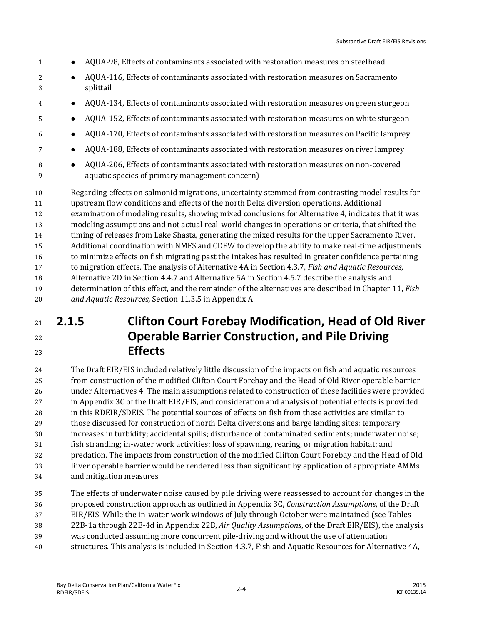- 1 AQUA-98, Effects of contaminants associated with restoration measures on steelhead 2 AQUA-116, Effects of contaminants associated with restoration measures on Sacramento splittail AQUA-134, Effects of contaminants associated with restoration measures on green sturgeon AQUA-152, Effects of contaminants associated with restoration measures on white sturgeon AQUA-170, Effects of contaminants associated with restoration measures on Pacific lamprey AQUA-188, Effects of contaminants associated with restoration measures on river lamprey 8  $\bullet$  AQUA-206, Effects of contaminants associated with restoration measures on non-covered aquatic species of primary management concern) Regarding effects on salmonid migrations, uncertainty stemmed from contrasting model results for upstream flow conditions and effects of the north Delta diversion operations. Additional examination of modeling results, showing mixed conclusions for Alternative 4, indicates that it was modeling assumptions and not actual real-world changes in operations or criteria, that shifted the timing of releases from Lake Shasta, generating the mixed results for the upper Sacramento River. Additional coordination with NMFS and CDFW to develop the ability to make real-time adjustments to minimize effects on fish migrating past the intakes has resulted in greater confidence pertaining to migration effects. The analysis of Alternative 4A in Section 4.3.7, *Fish and Aquatic Resources*, Alternative 2D in Section 4.4.7 and Alternative 5A in Section 4.5.7 describe the analysis and
- determination of this effect, and the remainder of the alternatives are described in Chapter 11, *Fish and Aquatic Resources,* Section 11.3.5 in Appendix A.

### **2.1.5 Clifton Court Forebay Modification, Head of Old River Operable Barrier Construction, and Pile Driving Effects**

 The Draft EIR/EIS included relatively little discussion of the impacts on fish and aquatic resources from construction of the modified Clifton Court Forebay and the Head of Old River operable barrier under Alternatives 4. The main assumptions related to construction of these facilities were provided in Appendix 3C of the Draft EIR/EIS, and consideration and analysis of potential effects is provided in this RDEIR/SDEIS. The potential sources of effects on fish from these activities are similar to those discussed for construction of north Delta diversions and barge landing sites: temporary increases in turbidity; accidental spills; disturbance of contaminated sediments; underwater noise; fish stranding; in-water work activities; loss of spawning, rearing, or migration habitat; and predation. The impacts from construction of the modified Clifton Court Forebay and the Head of Old River operable barrier would be rendered less than significant by application of appropriate AMMs and mitigation measures.

 The effects of underwater noise caused by pile driving were reassessed to account for changes in the proposed construction approach as outlined in Appendix 3C, *Construction Assumptions*, of the Draft EIR/EIS. While the in-water work windows of July through October were maintained (see Tables 22B-1a through 22B-4d in Appendix 22B, *Air Quality Assumptions*, of the Draft EIR/EIS), the analysis was conducted assuming more concurrent pile-driving and without the use of attenuation structures. This analysis is included in Section 4.3.7, Fish and Aquatic Resources for Alternative 4A,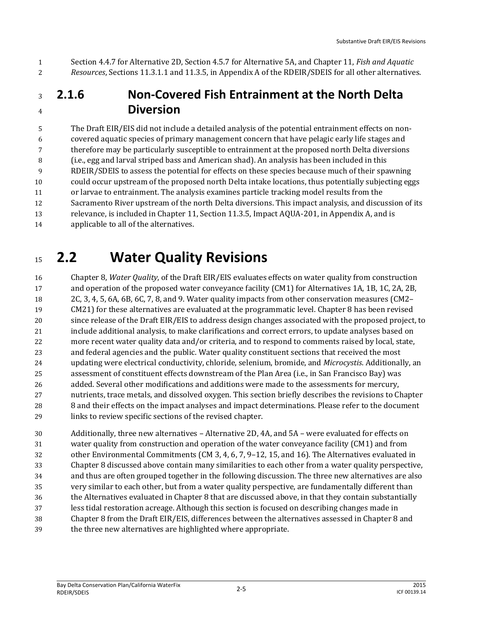Section 4.4.7 for Alternative 2D, Section 4.5.7 for Alternative 5A, and Chapter 11, *Fish and Aquatic Resources*, Sections 11.3.1.1 and 11.3.5, in Appendix A of the RDEIR/SDEIS for all other alternatives.

#### **2.1.6 Non-Covered Fish Entrainment at the North Delta Diversion**

 The Draft EIR/EIS did not include a detailed analysis of the potential entrainment effects on non- covered aquatic species of primary management concern that have pelagic early life stages and therefore may be particularly susceptible to entrainment at the proposed north Delta diversions (i.e., egg and larval striped bass and American shad). An analysis has been included in this RDEIR/SDEIS to assess the potential for effects on these species because much of their spawning could occur upstream of the proposed north Delta intake locations, thus potentially subjecting eggs or larvae to entrainment. The analysis examines particle tracking model results from the Sacramento River upstream of the north Delta diversions. This impact analysis, and discussion of its relevance, is included in Chapter 11, Section 11.3.5, Impact AQUA-201, in Appendix A, and is applicable to all of the alternatives.

# **2.2 Water Quality Revisions**

 Chapter 8, *Water Quality*, of the Draft EIR/EIS evaluates effects on water quality from construction and operation of the proposed water conveyance facility (CM1) for Alternatives 1A, 1B, 1C, 2A, 2B, 2C, 3, 4, 5, 6A, 6B, 6C, 7, 8, and 9. Water quality impacts from other conservation measures (CM2– CM21) for these alternatives are evaluated at the programmatic level. Chapter 8 has been revised since release of the Draft EIR/EIS to address design changes associated with the proposed project, to include additional analysis, to make clarifications and correct errors, to update analyses based on more recent water quality data and/or criteria, and to respond to comments raised by local, state, and federal agencies and the public. Water quality constituent sections that received the most updating were electrical conductivity, chloride, selenium, bromide, and *Microcystis*. Additionally, an assessment of constituent effects downstream of the Plan Area (i.e., in San Francisco Bay) was 26 added. Several other modifications and additions were made to the assessments for mercury, nutrients, trace metals, and dissolved oxygen. This section briefly describes the revisions to Chapter 8 and their effects on the impact analyses and impact determinations. Please refer to the document links to review specific sections of the revised chapter.

 Additionally, three new alternatives – Alternative 2D, 4A, and 5A – were evaluated for effects on water quality from construction and operation of the water conveyance facility (CM1) and from other Environmental Commitments (CM 3, 4, 6, 7, 9–12, 15, and 16). The Alternatives evaluated in Chapter 8 discussed above contain many similarities to each other from a water quality perspective, and thus are often grouped together in the following discussion. The three new alternatives are also very similar to each other, but from a water quality perspective, are fundamentally different than the Alternatives evaluated in Chapter 8 that are discussed above, in that they contain substantially less tidal restoration acreage. Although this section is focused on describing changes made in Chapter 8 from the Draft EIR/EIS, differences between the alternatives assessed in Chapter 8 and the three new alternatives are highlighted where appropriate.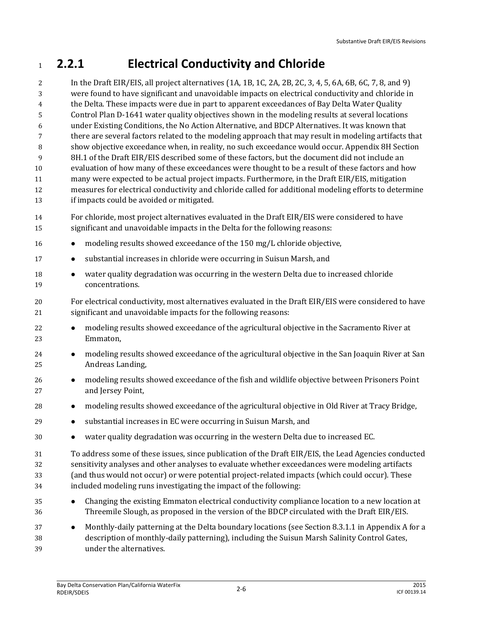### **2.2.1 Electrical Conductivity and Chloride**

 In the Draft EIR/EIS, all project alternatives (1A, 1B, 1C, 2A, 2B, 2C, 3, 4, 5, 6A, 6B, 6C, 7, 8, and 9) were found to have significant and unavoidable impacts on electrical conductivity and chloride in the Delta. These impacts were due in part to apparent exceedances of Bay Delta Water Quality Control Plan D-1641 water quality objectives shown in the modeling results at several locations under Existing Conditions, the No Action Alternative, and BDCP Alternatives. It was known that there are several factors related to the modeling approach that may result in modeling artifacts that show objective exceedance when, in reality, no such exceedance would occur. Appendix 8H Section 8H.1 of the Draft EIR/EIS described some of these factors, but the document did not include an evaluation of how many of these exceedances were thought to be a result of these factors and how many were expected to be actual project impacts. Furthermore, in the Draft EIR/EIS, mitigation measures for electrical conductivity and chloride called for additional modeling efforts to determine if impacts could be avoided or mitigated.

- For chloride, most project alternatives evaluated in the Draft EIR/EIS were considered to have significant and unavoidable impacts in the Delta for the following reasons:
- **••** modeling results showed exceedance of the 150 mg/L chloride objective,
- **•** substantial increases in chloride were occurring in Suisun Marsh, and
- **••** water quality degradation was occurring in the western Delta due to increased chloride concentrations.
- For electrical conductivity, most alternatives evaluated in the Draft EIR/EIS were considered to have significant and unavoidable impacts for the following reasons:
- **•** modeling results showed exceedance of the agricultural objective in the Sacramento River at Emmaton,
- 24 modeling results showed exceedance of the agricultural objective in the San Joaquin River at San Andreas Landing,
- **••** modeling results showed exceedance of the fish and wildlife objective between Prisoners Point and Jersey Point,
- **••** modeling results showed exceedance of the agricultural objective in Old River at Tracy Bridge,
- substantial increases in EC were occurring in Suisun Marsh, and
- water quality degradation was occurring in the western Delta due to increased EC.
- To address some of these issues, since publication of the Draft EIR/EIS, the Lead Agencies conducted sensitivity analyses and other analyses to evaluate whether exceedances were modeling artifacts (and thus would not occur) or were potential project-related impacts (which could occur). These included modeling runs investigating the impact of the following:
- Changing the existing Emmaton electrical conductivity compliance location to a new location at Threemile Slough, as proposed in the version of the BDCP circulated with the Draft EIR/EIS.
- **Monthly-daily patterning at the Delta boundary locations (see Section 8.3.1.1 in Appendix A for a**  description of monthly-daily patterning), including the Suisun Marsh Salinity Control Gates, under the alternatives.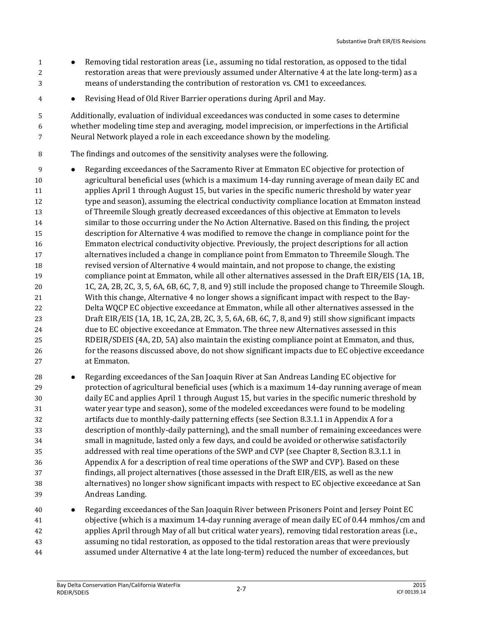- **Removing tidal restoration areas (i.e., assuming no tidal restoration, as opposed to the tidal 1**  restoration areas that were previously assumed under Alternative 4 at the late long-term) as a means of understanding the contribution of restoration vs. CM1 to exceedances.
- Revising Head of Old River Barrier operations during April and May.

 Additionally, evaluation of individual exceedances was conducted in some cases to determine whether modeling time step and averaging, model imprecision, or imperfections in the Artificial Neural Network played a role in each exceedance shown by the modeling.

- The findings and outcomes of the sensitivity analyses were the following.
- Regarding exceedances of the Sacramento River at Emmaton EC objective for protection of agricultural beneficial uses (which is a maximum 14-day running average of mean daily EC and applies April 1 through August 15, but varies in the specific numeric threshold by water year type and season), assuming the electrical conductivity compliance location at Emmaton instead of Threemile Slough greatly decreased exceedances of this objective at Emmaton to levels similar to those occurring under the No Action Alternative. Based on this finding, the project description for Alternative 4 was modified to remove the change in compliance point for the Emmaton electrical conductivity objective. Previously, the project descriptions for all action alternatives included a change in compliance point from Emmaton to Threemile Slough. The revised version of Alternative 4 would maintain, and not propose to change, the existing compliance point at Emmaton, while all other alternatives assessed in the Draft EIR/EIS (1A, 1B, 1C, 2A, 2B, 2C, 3, 5, 6A, 6B, 6C, 7, 8, and 9) still include the proposed change to Threemile Slough. With this change, Alternative 4 no longer shows a significant impact with respect to the Bay- Delta WQCP EC objective exceedance at Emmaton, while all other alternatives assessed in the Draft EIR/EIS (1A, 1B, 1C, 2A, 2B, 2C, 3, 5, 6A, 6B, 6C, 7, 8, and 9) still show significant impacts due to EC objective exceedance at Emmaton. The three new Alternatives assessed in this RDEIR/SDEIS (4A, 2D, 5A) also maintain the existing compliance point at Emmaton, and thus, for the reasons discussed above, do not show significant impacts due to EC objective exceedance at Emmaton.
- Regarding exceedances of the San Joaquin River at San Andreas Landing EC objective for protection of agricultural beneficial uses (which is a maximum 14-day running average of mean daily EC and applies April 1 through August 15, but varies in the specific numeric threshold by water year type and season), some of the modeled exceedances were found to be modeling artifacts due to monthly-daily patterning effects (see Section 8.3.1.1 in Appendix A for a description of monthly-daily patterning), and the small number of remaining exceedances were small in magnitude, lasted only a few days, and could be avoided or otherwise satisfactorily addressed with real time operations of the SWP and CVP (see Chapter 8, Section 8.3.1.1 in Appendix A for a description of real time operations of the SWP and CVP). Based on these findings, all project alternatives (those assessed in the Draft EIR/EIS, as well as the new alternatives) no longer show significant impacts with respect to EC objective exceedance at San Andreas Landing.
- Regarding exceedances of the San Joaquin River between Prisoners Point and Jersey Point EC objective (which is a maximum 14-day running average of mean daily EC of 0.44 mmhos/cm and applies April through May of all but critical water years), removing tidal restoration areas (i.e., assuming no tidal restoration, as opposed to the tidal restoration areas that were previously assumed under Alternative 4 at the late long-term) reduced the number of exceedances, but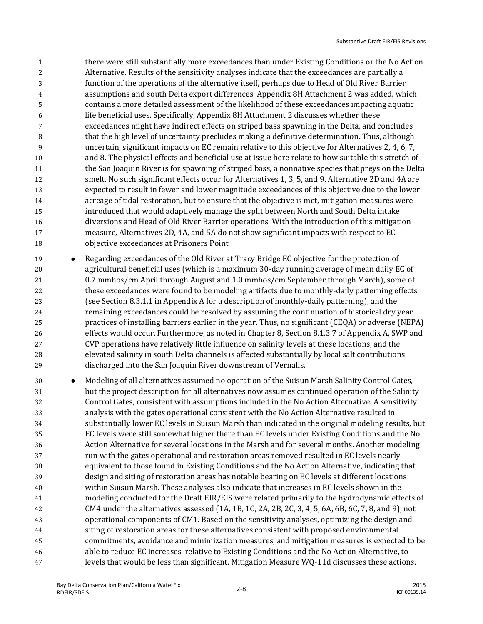- there were still substantially more exceedances than under Existing Conditions or the No Action Alternative. Results of the sensitivity analyses indicate that the exceedances are partially a function of the operations of the alternative itself, perhaps due to Head of Old River Barrier assumptions and south Delta export differences. Appendix 8H Attachment 2 was added, which contains a more detailed assessment of the likelihood of these exceedances impacting aquatic life beneficial uses. Specifically, Appendix 8H Attachment 2 discusses whether these exceedances might have indirect effects on striped bass spawning in the Delta, and concludes that the high level of uncertainty precludes making a definitive determination. Thus, although uncertain, significant impacts on EC remain relative to this objective for Alternatives 2, 4, 6, 7, and 8. The physical effects and beneficial use at issue here relate to how suitable this stretch of the San Joaquin River is for spawning of striped bass, a nonnative species that preys on the Delta smelt. No such significant effects occur for Alternatives 1, 3, 5, and 9. Alternative 2D and 4A are expected to result in fewer and lower magnitude exceedances of this objective due to the lower acreage of tidal restoration, but to ensure that the objective is met, mitigation measures were introduced that would adaptively manage the split between North and South Delta intake diversions and Head of Old River Barrier operations. With the introduction of this mitigation measure, Alternatives 2D, 4A, and 5A do not show significant impacts with respect to EC objective exceedances at Prisoners Point.
- Regarding exceedances of the Old River at Tracy Bridge EC objective for the protection of agricultural beneficial uses (which is a maximum 30-day running average of mean daily EC of 0.7 mmhos/cm April through August and 1.0 mmhos/cm September through March), some of these exceedances were found to be modeling artifacts due to monthly-daily patterning effects (see Section 8.3.1.1 in Appendix A for a description of monthly-daily patterning), and the remaining exceedances could be resolved by assuming the continuation of historical dry year practices of installing barriers earlier in the year. Thus, no significant (CEQA) or adverse (NEPA) effects would occur. Furthermore, as noted in Chapter 8, Section 8.1.3.7 of Appendix A, SWP and CVP operations have relatively little influence on salinity levels at these locations, and the elevated salinity in south Delta channels is affected substantially by local salt contributions discharged into the San Joaquin River downstream of Vernalis.
- 30 Modeling of all alternatives assumed no operation of the Suisun Marsh Salinity Control Gates, but the project description for all alternatives now assumes continued operation of the Salinity Control Gates, consistent with assumptions included in the No Action Alternative. A sensitivity analysis with the gates operational consistent with the No Action Alternative resulted in substantially lower EC levels in Suisun Marsh than indicated in the original modeling results, but EC levels were still somewhat higher there than EC levels under Existing Conditions and the No Action Alternative for several locations in the Marsh and for several months. Another modeling run with the gates operational and restoration areas removed resulted in EC levels nearly equivalent to those found in Existing Conditions and the No Action Alternative, indicating that design and siting of restoration areas has notable bearing on EC levels at different locations within Suisun Marsh. These analyses also indicate that increases in EC levels shown in the modeling conducted for the Draft EIR/EIS were related primarily to the hydrodynamic effects of CM4 under the alternatives assessed (1A, 1B, 1C, 2A, 2B, 2C, 3, 4, 5, 6A, 6B, 6C, 7, 8, and 9), not operational components of CM1. Based on the sensitivity analyses, optimizing the design and siting of restoration areas for these alternatives consistent with proposed environmental commitments, avoidance and minimization measures, and mitigation measures is expected to be able to reduce EC increases, relative to Existing Conditions and the No Action Alternative, to levels that would be less than significant. Mitigation Measure WQ-11d discusses these actions.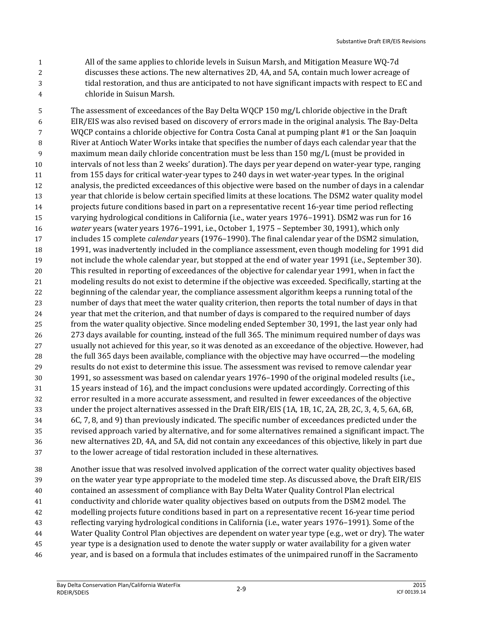All of the same applies to chloride levels in Suisun Marsh, and Mitigation Measure WQ-7d discusses these actions. The new alternatives 2D, 4A, and 5A, contain much lower acreage of tidal restoration, and thus are anticipated to not have significant impacts with respect to EC and chloride in Suisun Marsh.

 The assessment of exceedances of the Bay Delta WQCP 150 mg/L chloride objective in the Draft EIR/EIS was also revised based on discovery of errors made in the original analysis. The Bay-Delta WQCP contains a chloride objective for Contra Costa Canal at pumping plant #1 or the San Joaquin River at Antioch Water Works intake that specifies the number of days each calendar year that the maximum mean daily chloride concentration must be less than 150 mg/L (must be provided in intervals of not less than 2 weeks' duration). The days per year depend on water-year type, ranging from 155 days for critical water-year types to 240 days in wet water-year types. In the original analysis, the predicted exceedances of this objective were based on the number of days in a calendar year that chloride is below certain specified limits at these locations. The DSM2 water quality model projects future conditions based in part on a representative recent 16-year time period reflecting varying hydrological conditions in California (i.e., water years 1976–1991). DSM2 was run for 16 *water* years (water years 1976–1991, i.e., October 1, 1975 – September 30, 1991), which only includes 15 complete *calendar* years (1976–1990). The final calendar year of the DSM2 simulation, 1991, was inadvertently included in the compliance assessment, even though modeling for 1991 did not include the whole calendar year, but stopped at the end of water year 1991 (i.e., September 30). This resulted in reporting of exceedances of the objective for calendar year 1991, when in fact the modeling results do not exist to determine if the objective was exceeded. Specifically, starting at the beginning of the calendar year, the compliance assessment algorithm keeps a running total of the number of days that meet the water quality criterion, then reports the total number of days in that year that met the criterion, and that number of days is compared to the required number of days from the water quality objective. Since modeling ended September 30, 1991, the last year only had 273 days available for counting, instead of the full 365. The minimum required number of days was usually not achieved for this year, so it was denoted as an exceedance of the objective. However, had the full 365 days been available, compliance with the objective may have occurred—the modeling results do not exist to determine this issue. The assessment was revised to remove calendar year 1991, so assessment was based on calendar years 1976–1990 of the original modeled results (i.e., 15 years instead of 16), and the impact conclusions were updated accordingly. Correcting of this error resulted in a more accurate assessment, and resulted in fewer exceedances of the objective under the project alternatives assessed in the Draft EIR/EIS (1A, 1B, 1C, 2A, 2B, 2C, 3, 4, 5, 6A, 6B, 6C, 7, 8, and 9) than previously indicated. The specific number of exceedances predicted under the revised approach varied by alternative, and for some alternatives remained a significant impact. The new alternatives 2D, 4A, and 5A, did not contain any exceedances of this objective, likely in part due to the lower acreage of tidal restoration included in these alternatives.

 Another issue that was resolved involved application of the correct water quality objectives based on the water year type appropriate to the modeled time step. As discussed above, the Draft EIR/EIS contained an assessment of compliance with Bay Delta Water Quality Control Plan electrical conductivity and chloride water quality objectives based on outputs from the DSM2 model. The modelling projects future conditions based in part on a representative recent 16-year time period reflecting varying hydrological conditions in California (i.e., water years 1976–1991). Some of the Water Quality Control Plan objectives are dependent on water year type (e.g., wet or dry). The water year type is a designation used to denote the water supply or water availability for a given water year, and is based on a formula that includes estimates of the unimpaired runoff in the Sacramento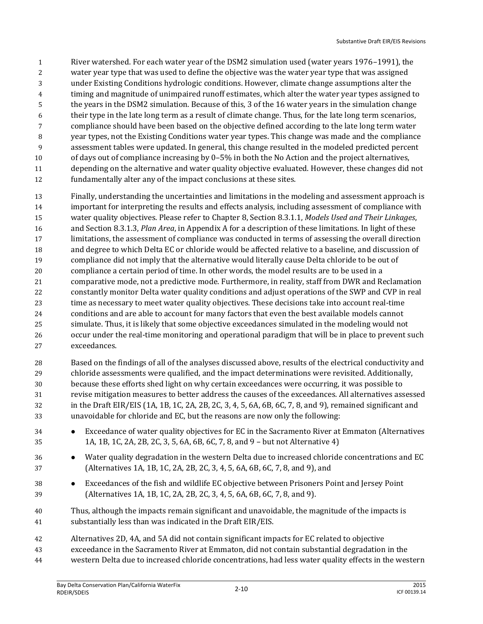River watershed. For each water year of the DSM2 simulation used (water years 1976–1991), the water year type that was used to define the objective was the water year type that was assigned under Existing Conditions hydrologic conditions. However, climate change assumptions alter the timing and magnitude of unimpaired runoff estimates, which alter the water year types assigned to the years in the DSM2 simulation. Because of this, 3 of the 16 water years in the simulation change their type in the late long term as a result of climate change. Thus, for the late long term scenarios, compliance should have been based on the objective defined according to the late long term water year types, not the Existing Conditions water year types. This change was made and the compliance assessment tables were updated. In general, this change resulted in the modeled predicted percent of days out of compliance increasing by 0–5% in both the No Action and the project alternatives, depending on the alternative and water quality objective evaluated. However, these changes did not fundamentally alter any of the impact conclusions at these sites.

- Finally, understanding the uncertainties and limitations in the modeling and assessment approach is important for interpreting the results and effects analysis, including assessment of compliance with water quality objectives. Please refer to Chapter 8, Section 8.3.1.1, *Models Used and Their Linkages*, and Section 8.3.1.3, *Plan Area*, in Appendix A for a description of these limitations. In light of these limitations, the assessment of compliance was conducted in terms of assessing the overall direction and degree to which Delta EC or chloride would be affected relative to a baseline, and discussion of compliance did not imply that the alternative would literally cause Delta chloride to be out of compliance a certain period of time. In other words, the model results are to be used in a comparative mode, not a predictive mode. Furthermore, in reality, staff from DWR and Reclamation constantly monitor Delta water quality conditions and adjust operations of the SWP and CVP in real time as necessary to meet water quality objectives. These decisions take into account real‐time conditions and are able to account for many factors that even the best available models cannot simulate. Thus, it is likely that some objective exceedances simulated in the modeling would not 26 occur under the real-time monitoring and operational paradigm that will be in place to prevent such exceedances.
- Based on the findings of all of the analyses discussed above, results of the electrical conductivity and chloride assessments were qualified, and the impact determinations were revisited. Additionally, because these efforts shed light on why certain exceedances were occurring, it was possible to revise mitigation measures to better address the causes of the exceedances. All alternatives assessed in the Draft EIR/EIS (1A, 1B, 1C, 2A, 2B, 2C, 3, 4, 5, 6A, 6B, 6C, 7, 8, and 9), remained significant and unavoidable for chloride and EC, but the reasons are now only the following:
- Exceedance of water quality objectives for EC in the Sacramento River at Emmaton (Alternatives 1A, 1B, 1C, 2A, 2B, 2C, 3, 5, 6A, 6B, 6C, 7, 8, and 9 – but not Alternative 4)
- Water quality degradation in the western Delta due to increased chloride concentrations and EC (Alternatives 1A, 1B, 1C, 2A, 2B, 2C, 3, 4, 5, 6A, 6B, 6C, 7, 8, and 9), and
- Exceedances of the fish and wildlife EC objective between Prisoners Point and Jersey Point (Alternatives 1A, 1B, 1C, 2A, 2B, 2C, 3, 4, 5, 6A, 6B, 6C, 7, 8, and 9).
- Thus, although the impacts remain significant and unavoidable, the magnitude of the impacts is substantially less than was indicated in the Draft EIR/EIS.
- Alternatives 2D, 4A, and 5A did not contain significant impacts for EC related to objective
- exceedance in the Sacramento River at Emmaton, did not contain substantial degradation in the
- western Delta due to increased chloride concentrations, had less water quality effects in the western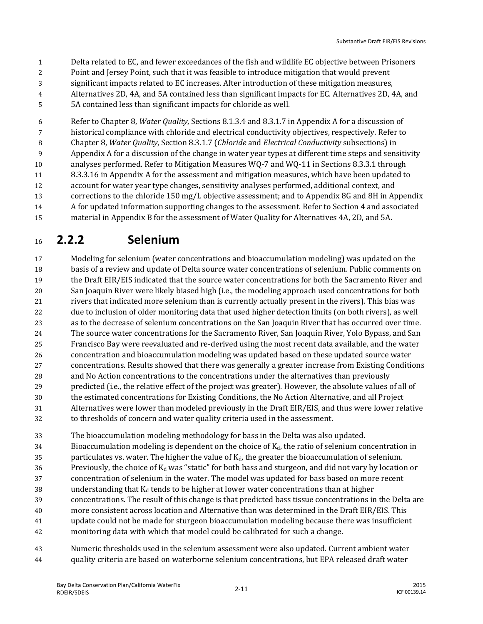- Delta related to EC, and fewer exceedances of the fish and wildlife EC objective between Prisoners
- Point and Jersey Point, such that it was feasible to introduce mitigation that would prevent
- significant impacts related to EC increases. After introduction of these mitigation measures,
- Alternatives 2D, 4A, and 5A contained less than significant impacts for EC. Alternatives 2D, 4A, and
- 5A contained less than significant impacts for chloride as well.

 Refer to Chapter 8, *Water Quality*, Sections 8.1.3.4 and 8.3.1.7 in Appendix A for a discussion of historical compliance with chloride and electrical conductivity objectives, respectively. Refer to Chapter 8, *Water Quality*, Section 8.3.1.7 (*Chloride* and *Electrical Conductivity* subsections) in Appendix A for a discussion of the change in water year types at different time steps and sensitivity analyses performed. Refer to Mitigation Measures WQ-7 and WQ-11 in Sections 8.3.3.1 through 8.3.3.16 in Appendix A for the assessment and mitigation measures, which have been updated to account for water year type changes, sensitivity analyses performed, additional context, and corrections to the chloride 150 mg/L objective assessment; and to Appendix 8G and 8H in Appendix A for updated information supporting changes to the assessment. Refer to Section 4 and associated material in Appendix B for the assessment of Water Quality for Alternatives 4A, 2D, and 5A.

### **2.2.2 Selenium**

 Modeling for selenium (water concentrations and bioaccumulation modeling) was updated on the basis of a review and update of Delta source water concentrations of selenium. Public comments on the Draft EIR/EIS indicated that the source water concentrations for both the Sacramento River and San Joaquin River were likely biased high (i.e., the modeling approach used concentrations for both rivers that indicated more selenium than is currently actually present in the rivers). This bias was due to inclusion of older monitoring data that used higher detection limits (on both rivers), as well as to the decrease of selenium concentrations on the San Joaquin River that has occurred over time. The source water concentrations for the Sacramento River, San Joaquin River, Yolo Bypass, and San Francisco Bay were reevaluated and re-derived using the most recent data available, and the water concentration and bioaccumulation modeling was updated based on these updated source water concentrations. Results showed that there was generally a greater increase from Existing Conditions and No Action concentrations to the concentrations under the alternatives than previously predicted (i.e., the relative effect of the project was greater). However, the absolute values of all of the estimated concentrations for Existing Conditions, the No Action Alternative, and all Project Alternatives were lower than modeled previously in the Draft EIR/EIS, and thus were lower relative to thresholds of concern and water quality criteria used in the assessment.

The bioaccumulation modeling methodology for bass in the Delta was also updated.

34 Bioaccumulation modeling is dependent on the choice of  $K_d$ , the ratio of selenium concentration in 35 particulates vs. water. The higher the value of  $K_d$ , the greater the bioaccumulation of selenium. 36 Previously, the choice of  $K_d$  was "static" for both bass and sturgeon, and did not vary by location or concentration of selenium in the water. The model was updated for bass based on more recent 38 understanding that  $K_d$  tends to be higher at lower water concentrations than at higher concentrations. The result of this change is that predicted bass tissue concentrations in the Delta are more consistent across location and Alternative than was determined in the Draft EIR/EIS. This update could not be made for sturgeon bioaccumulation modeling because there was insufficient monitoring data with which that model could be calibrated for such a change.

 Numeric thresholds used in the selenium assessment were also updated. Current ambient water quality criteria are based on waterborne selenium concentrations, but EPA released draft water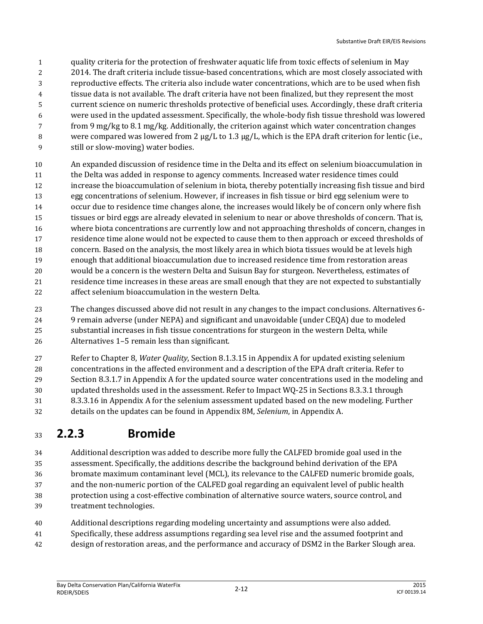- quality criteria for the protection of freshwater aquatic life from toxic effects of selenium in May
- 2014. The draft criteria include tissue-based concentrations, which are most closely associated with
- reproductive effects. The criteria also include water concentrations, which are to be used when fish
- tissue data is not available. The draft criteria have not been finalized, but they represent the most
- current science on numeric thresholds protective of beneficial uses. Accordingly, these draft criteria
- were used in the updated assessment. Specifically, the whole-body fish tissue threshold was lowered
- from 9 mg/kg to 8.1 mg/kg. Additionally, the criterion against which water concentration changes 8 were compared was lowered from 2  $\mu$ g/L to 1.3  $\mu$ g/L, which is the EPA draft criterion for lentic (i.e.,
- still or slow-moving) water bodies.
- An expanded discussion of residence time in the Delta and its effect on selenium bioaccumulation in the Delta was added in response to agency comments. Increased water residence times could increase the bioaccumulation of selenium in biota, thereby potentially increasing fish tissue and bird egg concentrations of selenium. However, if increases in fish tissue or bird egg selenium were to occur due to residence time changes alone, the increases would likely be of concern only where fish tissues or bird eggs are already elevated in selenium to near or above thresholds of concern. That is, where biota concentrations are currently low and not approaching thresholds of concern, changes in residence time alone would not be expected to cause them to then approach or exceed thresholds of concern. Based on the analysis, the most likely area in which biota tissues would be at levels high enough that additional bioaccumulation due to increased residence time from restoration areas would be a concern is the western Delta and Suisun Bay for sturgeon. Nevertheless, estimates of residence time increases in these areas are small enough that they are not expected to substantially affect selenium bioaccumulation in the western Delta.
- The changes discussed above did not result in any changes to the impact conclusions. Alternatives 6- 9 remain adverse (under NEPA) and significant and unavoidable (under CEQA) due to modeled substantial increases in fish tissue concentrations for sturgeon in the western Delta, while Alternatives 1–5 remain less than significant.
- Refer to Chapter 8, *Water Quality*, Section 8.1.3.15 in Appendix A for updated existing selenium concentrations in the affected environment and a description of the EPA draft criteria. Refer to Section 8.3.1.7 in Appendix A for the updated source water concentrations used in the modeling and updated thresholds used in the assessment. Refer to Impact WQ-25 in Sections 8.3.3.1 through 8.3.3.16 in Appendix A for the selenium assessment updated based on the new modeling. Further details on the updates can be found in Appendix 8M, *Selenium*, in Appendix A.

### **2.2.3 Bromide**

- Additional description was added to describe more fully the CALFED bromide goal used in the assessment. Specifically, the additions describe the background behind derivation of the EPA bromate maximum contaminant level (MCL), its relevance to the CALFED numeric bromide goals, and the non-numeric portion of the CALFED goal regarding an equivalent level of public health protection using a cost-effective combination of alternative source waters, source control, and treatment technologies.
- Additional descriptions regarding modeling uncertainty and assumptions were also added.
- Specifically, these address assumptions regarding sea level rise and the assumed footprint and
- design of restoration areas, and the performance and accuracy of DSM2 in the Barker Slough area.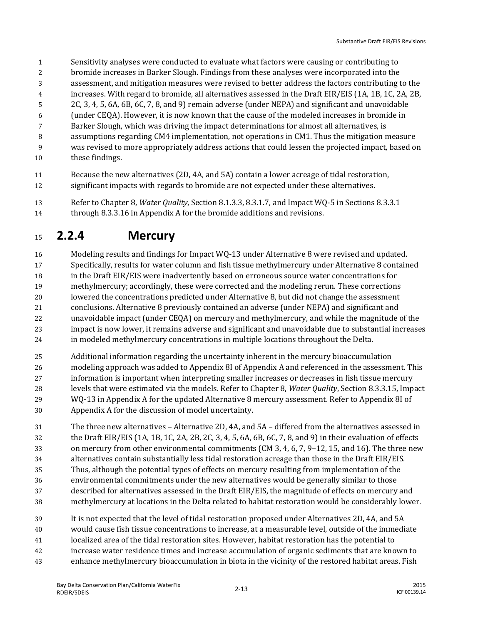- Sensitivity analyses were conducted to evaluate what factors were causing or contributing to
- bromide increases in Barker Slough. Findings from these analyses were incorporated into the
- assessment, and mitigation measures were revised to better address the factors contributing to the
- increases. With regard to bromide, all alternatives assessed in the Draft EIR/EIS (1A, 1B, 1C, 2A, 2B,
- 2C, 3, 4, 5, 6A, 6B, 6C, 7, 8, and 9) remain adverse (under NEPA) and significant and unavoidable
- (under CEQA). However, it is now known that the cause of the modeled increases in bromide in
- Barker Slough, which was driving the impact determinations for almost all alternatives, is
- assumptions regarding CM4 implementation, not operations in CM1. Thus the mitigation measure was revised to more appropriately address actions that could lessen the projected impact, based on
- these findings.
- Because the new alternatives (2D, 4A, and 5A) contain a lower acreage of tidal restoration, significant impacts with regards to bromide are not expected under these alternatives.
- Refer to Chapter 8, *Water Quality*, Section 8.1.3.3, 8.3.1.7, and Impact WQ-5 in Sections 8.3.3.1 through 8.3.3.16 in Appendix A for the bromide additions and revisions.

#### **2.2.4 Mercury**

- Modeling results and findings for Impact WQ-13 under Alternative 8 were revised and updated. Specifically, results for water column and fish tissue methylmercury under Alternative 8 contained in the Draft EIR/EIS were inadvertently based on erroneous source water concentrations for methylmercury; accordingly, these were corrected and the modeling rerun. These corrections lowered the concentrations predicted under Alternative 8, but did not change the assessment conclusions. Alternative 8 previously contained an adverse (under NEPA) and significant and unavoidable impact (under CEQA) on mercury and methylmercury, and while the magnitude of the impact is now lower, it remains adverse and significant and unavoidable due to substantial increases in modeled methylmercury concentrations in multiple locations throughout the Delta.
- Additional information regarding the uncertainty inherent in the mercury bioaccumulation modeling approach was added to Appendix 8I of Appendix A and referenced in the assessment. This information is important when interpreting smaller increases or decreases in fish tissue mercury levels that were estimated via the models. Refer to Chapter 8, *Water Quality*, Section 8.3.3.15, Impact WQ-13 in Appendix A for the updated Alternative 8 mercury assessment. Refer to Appendix 8I of Appendix A for the discussion of model uncertainty.
- The three new alternatives Alternative 2D, 4A, and 5A differed from the alternatives assessed in the Draft EIR/EIS (1A, 1B, 1C, 2A, 2B, 2C, 3, 4, 5, 6A, 6B, 6C, 7, 8, and 9) in their evaluation of effects on mercury from other environmental commitments (CM 3, 4, 6, 7, 9–12, 15, and 16). The three new alternatives contain substantially less tidal restoration acreage than those in the Draft EIR/EIS. Thus, although the potential types of effects on mercury resulting from implementation of the environmental commitments under the new alternatives would be generally similar to those described for alternatives assessed in the Draft EIR/EIS, the magnitude of effects on mercury and methylmercury at locations in the Delta related to habitat restoration would be considerably lower.
- It is not expected that the level of tidal restoration proposed under Alternatives 2D, 4A, and 5A
- would cause fish tissue concentrations to increase, at a measurable level, outside of the immediate
- localized area of the tidal restoration sites. However, habitat restoration has the potential to
- increase water residence times and increase accumulation of organic sediments that are known to
- enhance methylmercury bioaccumulation in biota in the vicinity of the restored habitat areas. Fish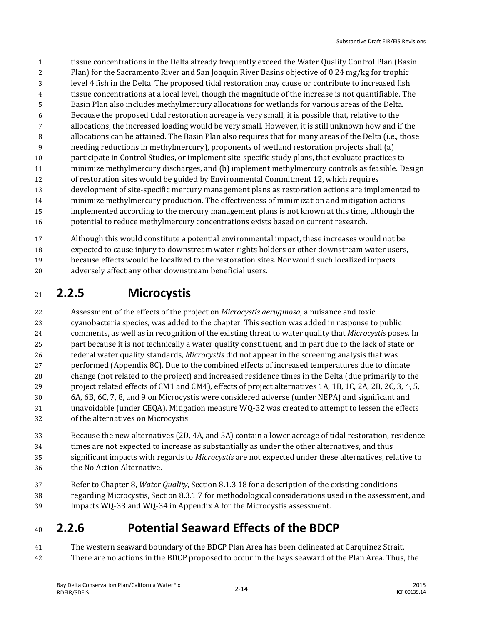- tissue concentrations in the Delta already frequently exceed the Water Quality Control Plan (Basin Plan) for the Sacramento River and San Joaquin River Basins objective of 0.24 mg/kg for trophic level 4 fish in the Delta. The proposed tidal restoration may cause or contribute to increased fish tissue concentrations at a local level, though the magnitude of the increase is not quantifiable. The Basin Plan also includes methylmercury allocations for wetlands for various areas of the Delta. Because the proposed tidal restoration acreage is very small, it is possible that, relative to the allocations, the increased loading would be very small. However, it is still unknown how and if the allocations can be attained. The Basin Plan also requires that for many areas of the Delta (i.e., those needing reductions in methylmercury), proponents of wetland restoration projects shall (a) participate in Control Studies, or implement site-specific study plans, that evaluate practices to minimize methylmercury discharges, and (b) implement methylmercury controls as feasible. Design of restoration sites would be guided by Environmental Commitment 12, which requires development of site-specific mercury management plans as restoration actions are implemented to minimize methylmercury production. The effectiveness of minimization and mitigation actions implemented according to the mercury management plans is not known at this time, although the potential to reduce methylmercury concentrations exists based on current research.
- Although this would constitute a potential environmental impact, these increases would not be expected to cause injury to downstream water rights holders or other downstream water users, because effects would be localized to the restoration sites. Nor would such localized impacts adversely affect any other downstream beneficial users.

## **2.2.5 Microcystis**

 Assessment of the effects of the project on *Microcystis aeruginosa*, a nuisance and toxic cyanobacteria species, was added to the chapter. This section was added in response to public comments, as well as in recognition of the existing threat to water quality that *Microcystis* poses. In part because it is not technically a water quality constituent, and in part due to the lack of state or federal water quality standards, *Microcystis* did not appear in the screening analysis that was performed (Appendix 8C). Due to the combined effects of increased temperatures due to climate change (not related to the project) and increased residence times in the Delta (due primarily to the project related effects of CM1 and CM4), effects of project alternatives 1A, 1B, 1C, 2A, 2B, 2C, 3, 4, 5, 6A, 6B, 6C, 7, 8, and 9 on Microcystis were considered adverse (under NEPA) and significant and unavoidable (under CEQA). Mitigation measure WQ-32 was created to attempt to lessen the effects of the alternatives on Microcystis.

- Because the new alternatives (2D, 4A, and 5A) contain a lower acreage of tidal restoration, residence times are not expected to increase as substantially as under the other alternatives, and thus significant impacts with regards to *Microcystis* are not expected under these alternatives, relative to the No Action Alternative.
- Refer to Chapter 8, *Water Quality*, Section 8.1.3.18 for a description of the existing conditions regarding Microcystis, Section 8.3.1.7 for methodological considerations used in the assessment, and Impacts WQ-33 and WQ-34 in Appendix A for the Microcystis assessment.

## **2.2.6 Potential Seaward Effects of the BDCP**

 The western seaward boundary of the BDCP Plan Area has been delineated at Carquinez Strait. There are no actions in the BDCP proposed to occur in the bays seaward of the Plan Area. Thus, the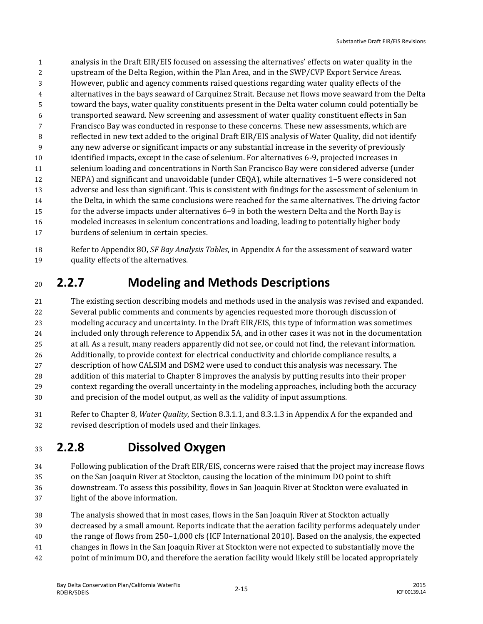- analysis in the Draft EIR/EIS focused on assessing the alternatives' effects on water quality in the upstream of the Delta Region, within the Plan Area, and in the SWP/CVP Export Service Areas. However, public and agency comments raised questions regarding water quality effects of the alternatives in the bays seaward of Carquinez Strait. Because net flows move seaward from the Delta toward the bays, water quality constituents present in the Delta water column could potentially be transported seaward. New screening and assessment of water quality constituent effects in San Francisco Bay was conducted in response to these concerns. These new assessments, which are reflected in new text added to the original Draft EIR/EIS analysis of Water Quality, did not identify any new adverse or significant impacts or any substantial increase in the severity of previously identified impacts, except in the case of selenium. For alternatives 6-9, projected increases in selenium loading and concentrations in North San Francisco Bay were considered adverse (under NEPA) and significant and unavoidable (under CEQA), while alternatives 1–5 were considered not adverse and less than significant. This is consistent with findings for the assessment of selenium in the Delta, in which the same conclusions were reached for the same alternatives. The driving factor for the adverse impacts under alternatives 6–9 in both the western Delta and the North Bay is modeled increases in selenium concentrations and loading, leading to potentially higher body burdens of selenium in certain species.
- Refer to Appendix 8O, *SF Bay Analysis Tables*, in Appendix A for the assessment of seaward water quality effects of the alternatives.

# **2.2.7 Modeling and Methods Descriptions**

- The existing section describing models and methods used in the analysis was revised and expanded. Several public comments and comments by agencies requested more thorough discussion of modeling accuracy and uncertainty. In the Draft EIR/EIS, this type of information was sometimes included only through reference to Appendix 5A, and in other cases it was not in the documentation at all. As a result, many readers apparently did not see, or could not find, the relevant information. Additionally, to provide context for electrical conductivity and chloride compliance results, a description of how CALSIM and DSM2 were used to conduct this analysis was necessary. The addition of this material to Chapter 8 improves the analysis by putting results into their proper context regarding the overall uncertainty in the modeling approaches, including both the accuracy and precision of the model output, as well as the validity of input assumptions.
- Refer to Chapter 8, *Water Quality*, Section 8.3.1.1, and 8.3.1.3 in Appendix A for the expanded and revised description of models used and their linkages.

## **2.2.8 Dissolved Oxygen**

- Following publication of the Draft EIR/EIS, concerns were raised that the project may increase flows on the San Joaquin River at Stockton, causing the location of the minimum DO point to shift downstream. To assess this possibility, flows in San Joaquin River at Stockton were evaluated in light of the above information.
- The analysis showed that in most cases, flows in the San Joaquin River at Stockton actually decreased by a small amount. Reports indicate that the aeration facility performs adequately under the range of flows from 250–1,000 cfs (ICF International 2010). Based on the analysis, the expected changes in flows in the San Joaquin River at Stockton were not expected to substantially move the point of minimum DO, and therefore the aeration facility would likely still be located appropriately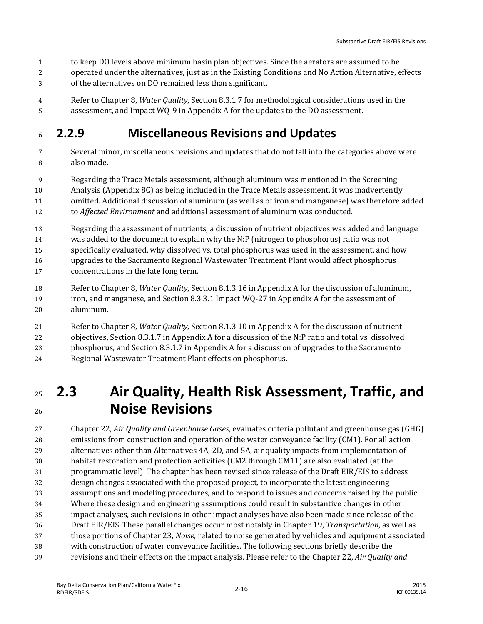- to keep DO levels above minimum basin plan objectives. Since the aerators are assumed to be
- operated under the alternatives, just as in the Existing Conditions and No Action Alternative, effects
- of the alternatives on DO remained less than significant.
- Refer to Chapter 8, *Water Quality*, Section 8.3.1.7 for methodological considerations used in the assessment, and Impact WQ-9 in Appendix A for the updates to the DO assessment.

#### **2.2.9 Miscellaneous Revisions and Updates**

- Several minor, miscellaneous revisions and updates that do not fall into the categories above were also made.
- Regarding the Trace Metals assessment, although aluminum was mentioned in the Screening
- Analysis (Appendix 8C) as being included in the Trace Metals assessment, it was inadvertently
- omitted. Additional discussion of aluminum (as well as of iron and manganese) was therefore added to *Affected Environment* and additional assessment of aluminum was conducted.
- 
- Regarding the assessment of nutrients, a discussion of nutrient objectives was added and language
- was added to the document to explain why the N:P (nitrogen to phosphorus) ratio was not
- specifically evaluated, why dissolved vs. total phosphorus was used in the assessment, and how
- upgrades to the Sacramento Regional Wastewater Treatment Plant would affect phosphorus
- concentrations in the late long term.
- Refer to Chapter 8, *Water Quality*, Section 8.1.3.16 in Appendix A for the discussion of aluminum, iron, and manganese, and Section 8.3.3.1 Impact WQ-27 in Appendix A for the assessment of aluminum.
- Refer to Chapter 8, *Water Quality*, Section 8.1.3.10 in Appendix A for the discussion of nutrient objectives, Section 8.3.1.7 in Appendix A for a discussion of the N:P ratio and total vs. dissolved phosphorus, and Section 8.3.1.7 in Appendix A for a discussion of upgrades to the Sacramento Regional Wastewater Treatment Plant effects on phosphorus.

# **2.3 Air Quality, Health Risk Assessment, Traffic, and Noise Revisions**

 Chapter 22, *Air Quality and Greenhouse Gases*, evaluates criteria pollutant and greenhouse gas (GHG) emissions from construction and operation of the water conveyance facility (CM1). For all action alternatives other than Alternatives 4A, 2D, and 5A, air quality impacts from implementation of habitat restoration and protection activities (CM2 through CM11) are also evaluated (at the programmatic level). The chapter has been revised since release of the Draft EIR/EIS to address design changes associated with the proposed project, to incorporate the latest engineering assumptions and modeling procedures, and to respond to issues and concerns raised by the public. Where these design and engineering assumptions could result in substantive changes in other impact analyses, such revisions in other impact analyses have also been made since release of the Draft EIR/EIS. These parallel changes occur most notably in Chapter 19, *Transportation*, as well as those portions of Chapter 23, *Noise*, related to noise generated by vehicles and equipment associated with construction of water conveyance facilities. The following sections briefly describe the revisions and their effects on the impact analysis. Please refer to the Chapter 22, *Air Quality and*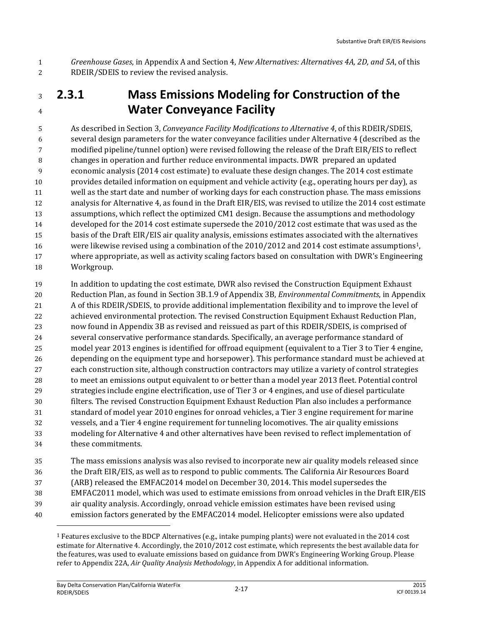*Greenhouse Gases*, in Appendix A and Section 4, *New Alternatives: Alternatives 4A, 2D, and 5A*, of this RDEIR/SDEIS to review the revised analysis.

#### **2.3.1 Mass Emissions Modeling for Construction of the Water Conveyance Facility**

 As described in Section 3, *Conveyance Facility Modifications to Alternative 4*, of this RDEIR/SDEIS, several design parameters for the water conveyance facilities under Alternative 4 (described as the modified pipeline/tunnel option) were revised following the release of the Draft EIR/EIS to reflect changes in operation and further reduce environmental impacts. DWR prepared an updated economic analysis (2014 cost estimate) to evaluate these design changes. The 2014 cost estimate provides detailed information on equipment and vehicle activity (e.g., operating hours per day), as well as the start date and number of working days for each construction phase. The mass emissions analysis for Alternative 4, as found in the Draft EIR/EIS, was revised to utilize the 2014 cost estimate assumptions, which reflect the optimized CM1 design. Because the assumptions and methodology developed for the 2014 cost estimate supersede the 2010/2012 cost estimate that was used as the basis of the Draft EIR/EIS air quality analysis, emissions estimates associated with the alternatives 16 were likewise revised using a combination of the 2010/2012 and 2014 cost estimate assumptions<sup>1</sup>, where appropriate, as well as activity scaling factors based on consultation with DWR's Engineering Workgroup.

 In addition to updating the cost estimate, DWR also revised the Construction Equipment Exhaust Reduction Plan, as found in Section 3B.1.9 of Appendix 3B, *Environmental Commitments*, in Appendix A of this RDEIR/SDEIS, to provide additional implementation flexibility and to improve the level of achieved environmental protection. The revised Construction Equipment Exhaust Reduction Plan, now found in Appendix 3B as revised and reissued as part of this RDEIR/SDEIS, is comprised of several conservative performance standards. Specifically, an average performance standard of model year 2013 engines is identified for offroad equipment (equivalent to a Tier 3 to Tier 4 engine, depending on the equipment type and horsepower). This performance standard must be achieved at each construction site, although construction contractors may utilize a variety of control strategies to meet an emissions output equivalent to or better than a model year 2013 fleet. Potential control strategies include engine electrification, use of Tier 3 or 4 engines, and use of diesel particulate filters. The revised Construction Equipment Exhaust Reduction Plan also includes a performance standard of model year 2010 engines for onroad vehicles, a Tier 3 engine requirement for marine vessels, and a Tier 4 engine requirement for tunneling locomotives. The air quality emissions modeling for Alternative 4 and other alternatives have been revised to reflect implementation of these commitments.

 The mass emissions analysis was also revised to incorporate new air quality models released since the Draft EIR/EIS, as well as to respond to public comments. The California Air Resources Board (ARB) released the EMFAC2014 model on December 30, 2014. This model supersedes the EMFAC2011 model, which was used to estimate emissions from onroad vehicles in the Draft EIR/EIS air quality analysis. Accordingly, onroad vehicle emission estimates have been revised using emission factors generated by the EMFAC2014 model. Helicopter emissions were also updated

l

 Features exclusive to the BDCP Alternatives (e.g., intake pumping plants) were not evaluated in the 2014 cost estimate for Alternative 4. Accordingly, the 2010/2012 cost estimate, which represents the best available data for the features, was used to evaluate emissions based on guidance from DWR's Engineering Working Group. Please refer to Appendix 22A, *Air Quality Analysis Methodology*, in Appendix A for additional information.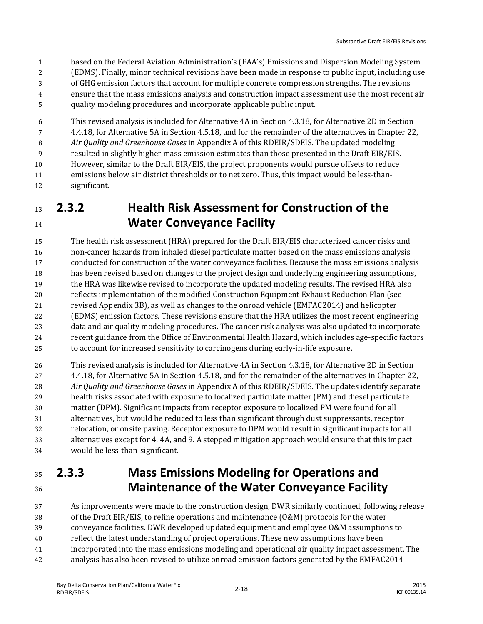- based on the Federal Aviation Administration's (FAA's) Emissions and Dispersion Modeling System
- (EDMS). Finally, minor technical revisions have been made in response to public input, including use
- of GHG emission factors that account for multiple concrete compression strengths. The revisions
- ensure that the mass emissions analysis and construction impact assessment use the most recent air
- quality modeling procedures and incorporate applicable public input.

 This revised analysis is included for Alternative 4A in Section 4.3.18, for Alternative 2D in Section 4.4.18, for Alternative 5A in Section 4.5.18, and for the remainder of the alternatives in Chapter 22, *Air Quality and Greenhouse Gases* in Appendix A of this RDEIR/SDEIS. The updated modeling resulted in slightly higher mass emission estimates than those presented in the Draft EIR/EIS. However, similar to the Draft EIR/EIS, the project proponents would pursue offsets to reduce emissions below air district thresholds or to net zero. Thus, this impact would be less-than-significant.

 **2.3.2 Health Risk Assessment for Construction of the Water Conveyance Facility**

 The health risk assessment (HRA) prepared for the Draft EIR/EIS characterized cancer risks and non-cancer hazards from inhaled diesel particulate matter based on the mass emissions analysis conducted for construction of the water conveyance facilities. Because the mass emissions analysis has been revised based on changes to the project design and underlying engineering assumptions, the HRA was likewise revised to incorporate the updated modeling results. The revised HRA also reflects implementation of the modified Construction Equipment Exhaust Reduction Plan (see revised Appendix 3B), as well as changes to the onroad vehicle (EMFAC2014) and helicopter (EDMS) emission factors. These revisions ensure that the HRA utilizes the most recent engineering data and air quality modeling procedures. The cancer risk analysis was also updated to incorporate recent guidance from the Office of Environmental Health Hazard, which includes age-specific factors to account for increased sensitivity to carcinogens during early-in-life exposure.

 This revised analysis is included for Alternative 4A in Section 4.3.18, for Alternative 2D in Section 4.4.18, for Alternative 5A in Section 4.5.18, and for the remainder of the alternatives in Chapter 22, *Air Quality and Greenhouse Gases* in Appendix A of this RDEIR/SDEIS. The updates identify separate health risks associated with exposure to localized particulate matter (PM) and diesel particulate matter (DPM). Significant impacts from receptor exposure to localized PM were found for all alternatives, but would be reduced to less than significant through dust suppressants, receptor relocation, or onsite paving. Receptor exposure to DPM would result in significant impacts for all alternatives except for 4, 4A, and 9. A stepped mitigation approach would ensure that this impact would be less-than-significant.

#### **2.3.3 Mass Emissions Modeling for Operations and Maintenance of the Water Conveyance Facility**

 As improvements were made to the construction design, DWR similarly continued, following release of the Draft EIR/EIS, to refine operations and maintenance (O&M) protocols for the water conveyance facilities. DWR developed updated equipment and employee O&M assumptions to reflect the latest understanding of project operations. These new assumptions have been incorporated into the mass emissions modeling and operational air quality impact assessment. The analysis has also been revised to utilize onroad emission factors generated by the EMFAC2014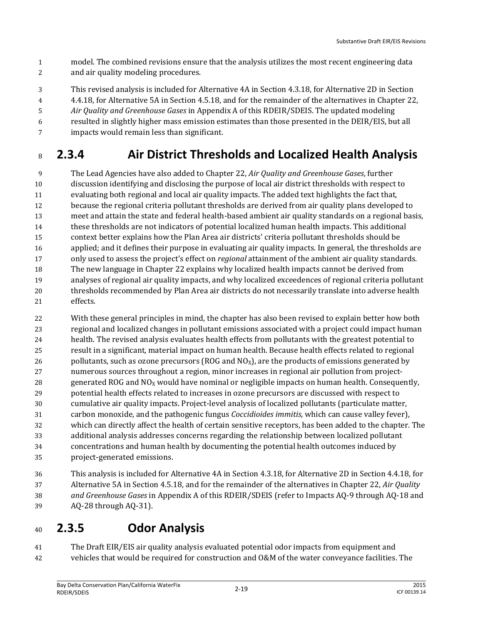- model. The combined revisions ensure that the analysis utilizes the most recent engineering data and air quality modeling procedures.
- This revised analysis is included for Alternative 4A in Section 4.3.18, for Alternative 2D in Section
- 4.4.18, for Alternative 5A in Section 4.5.18, and for the remainder of the alternatives in Chapter 22,
- *Air Quality and Greenhouse Gases* in Appendix A of this RDEIR/SDEIS. The updated modeling
- resulted in slightly higher mass emission estimates than those presented in the DEIR/EIS, but all
- impacts would remain less than significant.

#### **2.3.4 Air District Thresholds and Localized Health Analysis**

 The Lead Agencies have also added to Chapter 22, *Air Quality and Greenhouse Gases*, further discussion identifying and disclosing the purpose of local air district thresholds with respect to evaluating both regional and local air quality impacts. The added text highlights the fact that, because the regional criteria pollutant thresholds are derived from air quality plans developed to meet and attain the state and federal health-based ambient air quality standards on a regional basis, these thresholds are not indicators of potential localized human health impacts. This additional context better explains how the Plan Area air districts' criteria pollutant thresholds should be applied; and it defines their purpose in evaluating air quality impacts. In general, the thresholds are only used to assess the project's effect on *regional* attainment of the ambient air quality standards. The new language in Chapter 22 explains why localized health impacts cannot be derived from analyses of regional air quality impacts, and why localized exceedences of regional criteria pollutant thresholds recommended by Plan Area air districts do not necessarily translate into adverse health effects.

 With these general principles in mind, the chapter has also been revised to explain better how both regional and localized changes in pollutant emissions associated with a project could impact human health. The revised analysis evaluates health effects from pollutants with the greatest potential to result in a significant, material impact on human health. Because health effects related to regional 26 pollutants, such as ozone precursors (ROG and  $NQ_x$ ), are the products of emissions generated by numerous sources throughout a region, minor increases in regional air pollution from project-28 generated ROG and  $NQ_x$  would have nominal or negligible impacts on human health. Consequently, potential health effects related to increases in ozone precursors are discussed with respect to cumulative air quality impacts. Project-level analysis of localized pollutants (particulate matter, carbon monoxide, and the pathogenic fungus *Coccidioides immitis*, which can cause valley fever), which can directly affect the health of certain sensitive receptors, has been added to the chapter. The additional analysis addresses concerns regarding the relationship between localized pollutant concentrations and human health by documenting the potential health outcomes induced by project-generated emissions.

 This analysis is included for Alternative 4A in Section 4.3.18, for Alternative 2D in Section 4.4.18, for Alternative 5A in Section 4.5.18, and for the remainder of the alternatives in Chapter 22, *Air Quality and Greenhouse Gases* in Appendix A of this RDEIR/SDEIS (refer to Impacts AQ-9 through AQ-18 and AQ-28 through AQ-31).

#### **2.3.5 Odor Analysis**

 The Draft EIR/EIS air quality analysis evaluated potential odor impacts from equipment and vehicles that would be required for construction and O&M of the water conveyance facilities. The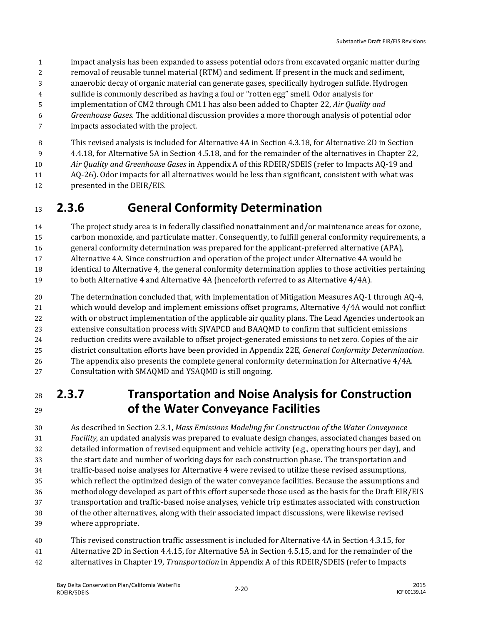- impact analysis has been expanded to assess potential odors from excavated organic matter during
- removal of reusable tunnel material (RTM) and sediment. If present in the muck and sediment,
- anaerobic decay of organic material can generate gases, specifically hydrogen sulfide. Hydrogen
- sulfide is commonly described as having a foul or "rotten egg" smell. Odor analysis for
- implementation of CM2 through CM11 has also been added to Chapter 22, *Air Quality and*
- *Greenhouse Gases*. The additional discussion provides a more thorough analysis of potential odor
- impacts associated with the project.
- This revised analysis is included for Alternative 4A in Section 4.3.18, for Alternative 2D in Section
- 4.4.18, for Alternative 5A in Section 4.5.18, and for the remainder of the alternatives in Chapter 22,
- *Air Quality and Greenhouse Gases* in Appendix A of this RDEIR/SDEIS (refer to Impacts AQ-19 and
- AQ-26). Odor impacts for all alternatives would be less than significant, consistent with what was
- presented in the DEIR/EIS.

#### **2.3.6 General Conformity Determination**

- The project study area is in federally classified nonattainment and/or maintenance areas for ozone, carbon monoxide, and particulate matter. Consequently, to fulfill general conformity requirements, a general conformity determination was prepared for the applicant-preferred alternative (APA), Alternative 4A. Since construction and operation of the project under Alternative 4A would be identical to Alternative 4, the general conformity determination applies to those activities pertaining
- to both Alternative 4 and Alternative 4A (henceforth referred to as Alternative 4/4A).
- The determination concluded that, with implementation of Mitigation Measures AQ-1 through AQ-4, which would develop and implement emissions offset programs, Alternative 4/4A would not conflict with or obstruct implementation of the applicable air quality plans. The Lead Agencies undertook an extensive consultation process with SJVAPCD and BAAQMD to confirm that sufficient emissions reduction credits were available to offset project-generated emissions to net zero. Copies of the air district consultation efforts have been provided in Appendix 22E, *General Conformity Determination*. The appendix also presents the complete general conformity determination for Alternative 4/4A. Consultation with SMAQMD and YSAQMD is still ongoing.

#### **2.3.7 Transportation and Noise Analysis for Construction of the Water Conveyance Facilities**

 As described in Section 2.3.1, *Mass Emissions Modeling for Construction of the Water Conveyance Facility*, an updated analysis was prepared to evaluate design changes, associated changes based on detailed information of revised equipment and vehicle activity (e.g., operating hours per day), and the start date and number of working days for each construction phase. The transportation and traffic-based noise analyses for Alternative 4 were revised to utilize these revised assumptions, which reflect the optimized design of the water conveyance facilities. Because the assumptions and methodology developed as part of this effort supersede those used as the basis for the Draft EIR/EIS transportation and traffic-based noise analyses, vehicle trip estimates associated with construction of the other alternatives, along with their associated impact discussions, were likewise revised where appropriate.

 This revised construction traffic assessment is included for Alternative 4A in Section 4.3.15, for Alternative 2D in Section 4.4.15, for Alternative 5A in Section 4.5.15, and for the remainder of the alternatives in Chapter 19, *Transportation* in Appendix A of this RDEIR/SDEIS (refer to Impacts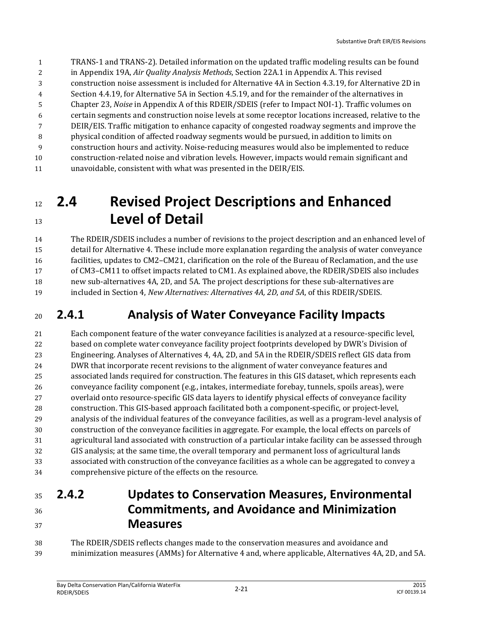- TRANS-1 and TRANS-2). Detailed information on the updated traffic modeling results can be found
- in Appendix 19A, *Air Quality Analysis Methods*, Section 22A.1 in Appendix A. This revised
- construction noise assessment is included for Alternative 4A in Section 4.3.19, for Alternative 2D in
- Section 4.4.19, for Alternative 5A in Section 4.5.19, and for the remainder of the alternatives in
- Chapter 23, *Noise* in Appendix A of this RDEIR/SDEIS (refer to Impact NOI-1). Traffic volumes on
- certain segments and construction noise levels at some receptor locations increased, relative to the
- DEIR/EIS. Traffic mitigation to enhance capacity of congested roadway segments and improve the physical condition of affected roadway segments would be pursued, in addition to limits on
- construction hours and activity. Noise-reducing measures would also be implemented to reduce
- construction-related noise and vibration levels. However, impacts would remain significant and
- unavoidable, consistent with what was presented in the DEIR/EIS.

# **2.4 Revised Project Descriptions and Enhanced Level of Detail**

 The RDEIR/SDEIS includes a number of revisions to the project description and an enhanced level of detail for Alternative 4. These include more explanation regarding the analysis of water conveyance facilities, updates to CM2–CM21, clarification on the role of the Bureau of Reclamation, and the use of CM3–CM11 to offset impacts related to CM1. As explained above, the RDEIR/SDEIS also includes new sub-alternatives 4A, 2D, and 5A. The project descriptions for these sub-alternatives are included in Section 4, *New Alternatives: Alternatives 4A, 2D*, *and 5A*, of this RDEIR/SDEIS.

### **2.4.1 Analysis of Water Conveyance Facility Impacts**

 Each component feature of the water conveyance facilities is analyzed at a resource-specific level, based on complete water conveyance facility project footprints developed by DWR's Division of Engineering. Analyses of Alternatives 4, 4A, 2D, and 5A in the RDEIR/SDEIS reflect GIS data from DWR that incorporate recent revisions to the alignment of water conveyance features and associated lands required for construction. The features in this GIS dataset, which represents each conveyance facility component (e.g., intakes, intermediate forebay, tunnels, spoils areas), were overlaid onto resource-specific GIS data layers to identify physical effects of conveyance facility construction. This GIS-based approach facilitated both a component-specific, or project-level, analysis of the individual features of the conveyance facilities, as well as a program-level analysis of construction of the conveyance facilities in aggregate. For example, the local effects on parcels of agricultural land associated with construction of a particular intake facility can be assessed through GIS analysis; at the same time, the overall temporary and permanent loss of agricultural lands associated with construction of the conveyance facilities as a whole can be aggregated to convey a comprehensive picture of the effects on the resource.

#### **2.4.2 Updates to Conservation Measures, Environmental Commitments, and Avoidance and Minimization Measures**

 The RDEIR/SDEIS reflects changes made to the conservation measures and avoidance and minimization measures (AMMs) for Alternative 4 and, where applicable, Alternatives 4A, 2D, and 5A.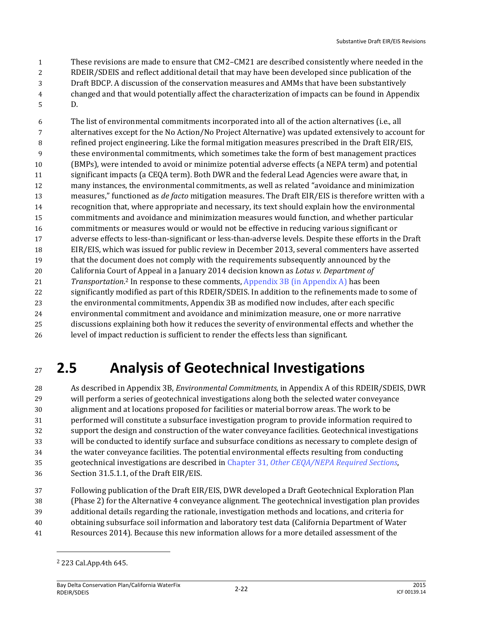These revisions are made to ensure that CM2–CM21 are described consistently where needed in the

- RDEIR/SDEIS and reflect additional detail that may have been developed since publication of the
- Draft BDCP. A discussion of the conservation measures and AMMs that have been substantively changed and that would potentially affect the characterization of impacts can be found in Appendix
- D.

 The list of environmental commitments incorporated into all of the action alternatives (i.e., all alternatives except for the No Action/No Project Alternative) was updated extensively to account for refined project engineering. Like the formal mitigation measures prescribed in the Draft EIR/EIS, these environmental commitments, which sometimes take the form of best management practices (BMPs), were intended to avoid or minimize potential adverse effects (a NEPA term) and potential significant impacts (a CEQA term). Both DWR and the federal Lead Agencies were aware that, in many instances, the environmental commitments, as well as related "avoidance and minimization measures," functioned as *de facto* mitigation measures. The Draft EIR/EIS is therefore written with a recognition that, where appropriate and necessary, its text should explain how the environmental commitments and avoidance and minimization measures would function, and whether particular commitments or measures would or would not be effective in reducing various significant or adverse effects to less-than-significant or less-than-adverse levels. Despite these efforts in the Draft EIR/EIS, which was issued for public review in December 2013, several commenters have asserted that the document does not comply with the requirements subsequently announced by the California Court of Appeal in a January 2014 decision known as *Lotus v. Department of Transportation*. <sup>2</sup> In response to these comments, Appendix 3B (in Appendix A) has been significantly modified as part of this RDEIR/SDEIS. In addition to the refinements made to some of the environmental commitments, Appendix 3B as modified now includes, after each specific environmental commitment and avoidance and minimization measure, one or more narrative discussions explaining both how it reduces the severity of environmental effects and whether the

#### level of impact reduction is sufficient to render the effects less than significant.

# **2.5 Analysis of Geotechnical Investigations**

 As described in Appendix 3B, *Environmental Commitments*, in Appendix A of this RDEIR/SDEIS, DWR will perform a series of geotechnical investigations along both the selected water conveyance alignment and at locations proposed for facilities or material borrow areas. The work to be performed will constitute a subsurface investigation program to provide information required to support the design and construction of the water conveyance facilities. Geotechnical investigations will be conducted to identify surface and subsurface conditions as necessary to complete design of the water conveyance facilities. The potential environmental effects resulting from conducting geotechnical investigations are described in Chapter 31, *Other CEQA/NEPA Required Sections*, Section 31.5.1.1, of the Draft EIR/EIS.

 Following publication of the Draft EIR/EIS, DWR developed a Draft Geotechnical Exploration Plan (Phase 2) for the Alternative 4 conveyance alignment. The geotechnical investigation plan provides additional details regarding the rationale, investigation methods and locations, and criteria for obtaining subsurface soil information and laboratory test data (California Department of Water Resources 2014). Because this new information allows for a more detailed assessment of the

223 Cal.App.4th 645.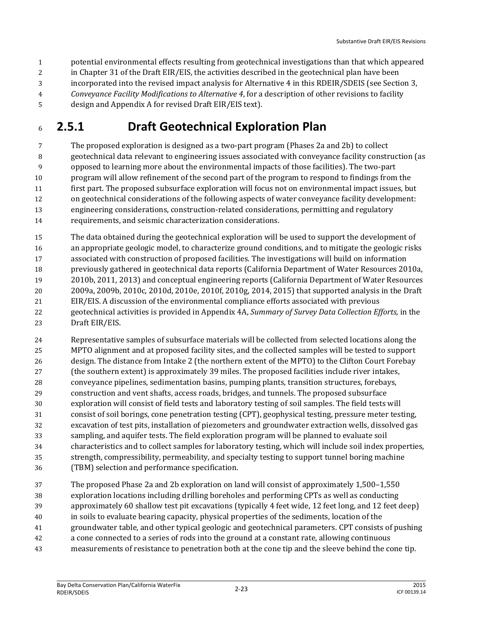- potential environmental effects resulting from geotechnical investigations than that which appeared
- in Chapter 31 of the Draft EIR/EIS, the activities described in the geotechnical plan have been
- incorporated into the revised impact analysis for Alternative 4 in this RDEIR/SDEIS (see Section 3,
- *Conveyance Facility Modifications to Alternative 4*, for a description of other revisions to facility
- design and Appendix A for revised Draft EIR/EIS text).

### **2.5.1 Draft Geotechnical Exploration Plan**

 The proposed exploration is designed as a two-part program (Phases 2a and 2b) to collect geotechnical data relevant to engineering issues associated with conveyance facility construction (as opposed to learning more about the environmental impacts of those facilities). The two-part program will allow refinement of the second part of the program to respond to findings from the first part. The proposed subsurface exploration will focus not on environmental impact issues, but on geotechnical considerations of the following aspects of water conveyance facility development: engineering considerations, construction-related considerations, permitting and regulatory requirements, and seismic characterization considerations.

 The data obtained during the geotechnical exploration will be used to support the development of an appropriate geologic model, to characterize ground conditions, and to mitigate the geologic risks associated with construction of proposed facilities. The investigations will build on information previously gathered in geotechnical data reports (California Department of Water Resources 2010a, 2010b, 2011, 2013) and conceptual engineering reports (California Department of Water Resources 2009a, 2009b, 2010c, 2010d, 2010e, 2010f, 2010g, 2014, 2015) that supported analysis in the Draft EIR/EIS. A discussion of the environmental compliance efforts associated with previous geotechnical activities is provided in Appendix 4A, *Summary of Survey Data Collection Efforts,* in the Draft EIR/EIS.

 Representative samples of subsurface materials will be collected from selected locations along the MPTO alignment and at proposed facility sites, and the collected samples will be tested to support design. The distance from Intake 2 (the northern extent of the MPTO) to the Clifton Court Forebay (the southern extent) is approximately 39 miles. The proposed facilities include river intakes, conveyance pipelines, sedimentation basins, pumping plants, transition structures, forebays, construction and vent shafts, access roads, bridges, and tunnels. The proposed subsurface exploration will consist of field tests and laboratory testing of soil samples. The field tests will consist of soil borings, cone penetration testing (CPT), geophysical testing, pressure meter testing, excavation of test pits, installation of piezometers and groundwater extraction wells, dissolved gas sampling, and aquifer tests. The field exploration program will be planned to evaluate soil characteristics and to collect samples for laboratory testing, which will include soil index properties, strength, compressibility, permeability, and specialty testing to support tunnel boring machine (TBM) selection and performance specification.

 The proposed Phase 2a and 2b exploration on land will consist of approximately 1,500–1,550 exploration locations including drilling boreholes and performing CPTs as well as conducting approximately 60 shallow test pit excavations (typically 4 feet wide, 12 feet long, and 12 feet deep) in soils to evaluate bearing capacity, physical properties of the sediments, location of the groundwater table, and other typical geologic and geotechnical parameters. CPT consists of pushing a cone connected to a series of rods into the ground at a constant rate, allowing continuous measurements of resistance to penetration both at the cone tip and the sleeve behind the cone tip.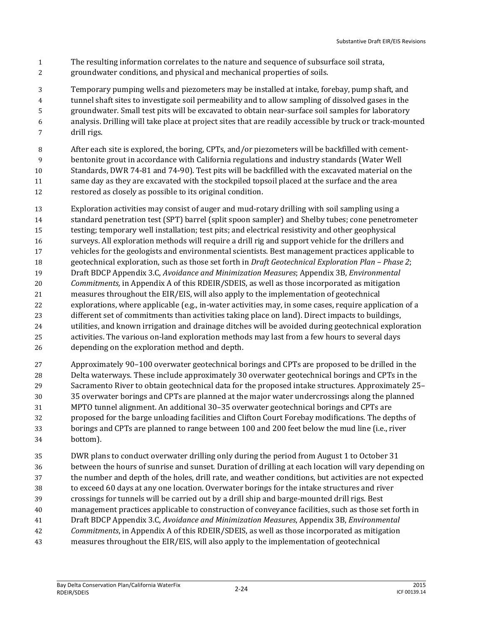- The resulting information correlates to the nature and sequence of subsurface soil strata,
- groundwater conditions, and physical and mechanical properties of soils.
- Temporary pumping wells and piezometers may be installed at intake, forebay, pump shaft, and tunnel shaft sites to investigate soil permeability and to allow sampling of dissolved gases in the groundwater. Small test pits will be excavated to obtain near-surface soil samples for laboratory analysis. Drilling will take place at project sites that are readily accessible by truck or track-mounted drill rigs.
- After each site is explored, the boring, CPTs, and/or piezometers will be backfilled with cement- bentonite grout in accordance with California regulations and industry standards (Water Well Standards, DWR 74-81 and 74-90). Test pits will be backfilled with the excavated material on the same day as they are excavated with the stockpiled topsoil placed at the surface and the area restored as closely as possible to its original condition.
- Exploration activities may consist of auger and mud-rotary drilling with soil sampling using a standard penetration test (SPT) barrel (split spoon sampler) and Shelby tubes; cone penetrometer testing; temporary well installation; test pits; and electrical resistivity and other geophysical surveys. All exploration methods will require a drill rig and support vehicle for the drillers and vehicles for the geologists and environmental scientists. Best management practices applicable to geotechnical exploration, such as those set forth in *Draft Geotechnical Exploration Plan – Phase 2*; Draft BDCP Appendix 3.C, *Avoidance and Minimization Measures*; Appendix 3B, *Environmental Commitments,* in Appendix A of this RDEIR/SDEIS, as well as those incorporated as mitigation measures throughout the EIR/EIS, will also apply to the implementation of geotechnical explorations, where applicable (e.g., in-water activities may, in some cases, require application of a different set of commitments than activities taking place on land). Direct impacts to buildings, utilities, and known irrigation and drainage ditches will be avoided during geotechnical exploration activities. The various on-land exploration methods may last from a few hours to several days depending on the exploration method and depth.
- Approximately 90–100 overwater geotechnical borings and CPTs are proposed to be drilled in the Delta waterways. These include approximately 30 overwater geotechnical borings and CPTs in the Sacramento River to obtain geotechnical data for the proposed intake structures. Approximately 25– 35 overwater borings and CPTs are planned at the major water undercrossings along the planned MPTO tunnel alignment. An additional 30–35 overwater geotechnical borings and CPTs are proposed for the barge unloading facilities and Clifton Court Forebay modifications. The depths of borings and CPTs are planned to range between 100 and 200 feet below the mud line (i.e., river bottom).
- DWR plans to conduct overwater drilling only during the period from August 1 to October 31 between the hours of sunrise and sunset. Duration of drilling at each location will vary depending on the number and depth of the holes, drill rate, and weather conditions, but activities are not expected to exceed 60 days at any one location. Overwater borings for the intake structures and river crossings for tunnels will be carried out by a drill ship and barge-mounted drill rigs. Best management practices applicable to construction of conveyance facilities, such as those set forth in Draft BDCP Appendix 3.C, *Avoidance and Minimization Measures*, Appendix 3B, *Environmental Commitments*, in Appendix A of this RDEIR/SDEIS, as well as those incorporated as mitigation measures throughout the EIR/EIS, will also apply to the implementation of geotechnical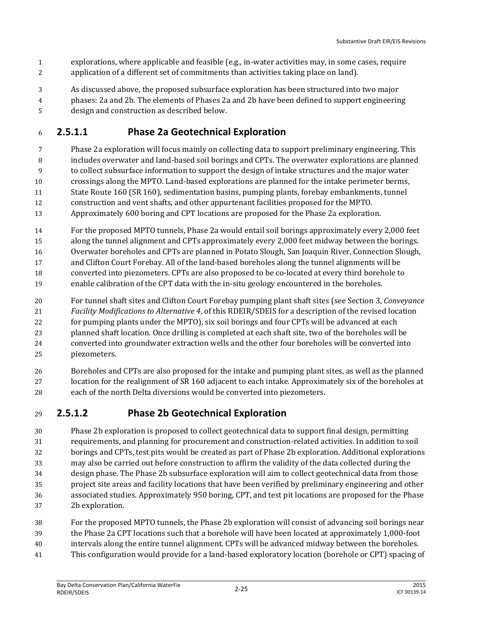- explorations, where applicable and feasible (e.g., in-water activities may, in some cases, require application of a different set of commitments than activities taking place on land).
- As discussed above, the proposed subsurface exploration has been structured into two major
- phases: 2a and 2b. The elements of Phases 2a and 2b have been defined to support engineering
- design and construction as described below.

#### **2.5.1.1 Phase 2a Geotechnical Exploration**

- Phase 2a exploration will focus mainly on collecting data to support preliminary engineering. This includes overwater and land-based soil borings and CPTs. The overwater explorations are planned to collect subsurface information to support the design of intake structures and the major water crossings along the MPTO. Land-based explorations are planned for the intake perimeter berms, State Route 160 (SR 160), sedimentation basins, pumping plants, forebay embankments, tunnel
- construction and vent shafts, and other appurtenant facilities proposed for the MPTO.
- Approximately 600 boring and CPT locations are proposed for the Phase 2a exploration.
- For the proposed MPTO tunnels, Phase 2a would entail soil borings approximately every 2,000 feet
- along the tunnel alignment and CPTs approximately every 2,000 feet midway between the borings.
- Overwater boreholes and CPTs are planned in Potato Slough, San Joaquin River, Connection Slough,
- and Clifton Court Forebay. All of the land-based boreholes along the tunnel alignments will be
- converted into piezometers. CPTs are also proposed to be co-located at every third borehole to
- enable calibration of the CPT data with the in-situ geology encountered in the boreholes.
- For tunnel shaft sites and Clifton Court Forebay pumping plant shaft sites (see Section 3, *Conveyance*
- *Facility Modifications to Alternative 4*, of this RDEIR/SDEIS for a description of the revised location
- for pumping plants under the MPTO), six soil borings and four CPTs will be advanced at each
- planned shaft location. Once drilling is completed at each shaft site, two of the boreholes will be converted into groundwater extraction wells and the other four boreholes will be converted into piezometers.
- Boreholes and CPTs are also proposed for the intake and pumping plant sites, as well as the planned location for the realignment of SR 160 adjacent to each intake. Approximately six of the boreholes at each of the north Delta diversions would be converted into piezometers.

#### **2.5.1.2 Phase 2b Geotechnical Exploration**

- Phase 2b exploration is proposed to collect geotechnical data to support final design, permitting requirements, and planning for procurement and construction-related activities. In addition to soil borings and CPTs, test pits would be created as part of Phase 2b exploration. Additional explorations may also be carried out before construction to affirm the validity of the data collected during the design phase. The Phase 2b subsurface exploration will aim to collect geotechnical data from those project site areas and facility locations that have been verified by preliminary engineering and other associated studies. Approximately 950 boring, CPT, and test pit locations are proposed for the Phase 2b exploration.
- For the proposed MPTO tunnels, the Phase 2b exploration will consist of advancing soil borings near the Phase 2a CPT locations such that a borehole will have been located at approximately 1,000-foot
- intervals along the entire tunnel alignment. CPTs will be advanced midway between the boreholes.
- This configuration would provide for a land-based exploratory location (borehole or CPT) spacing of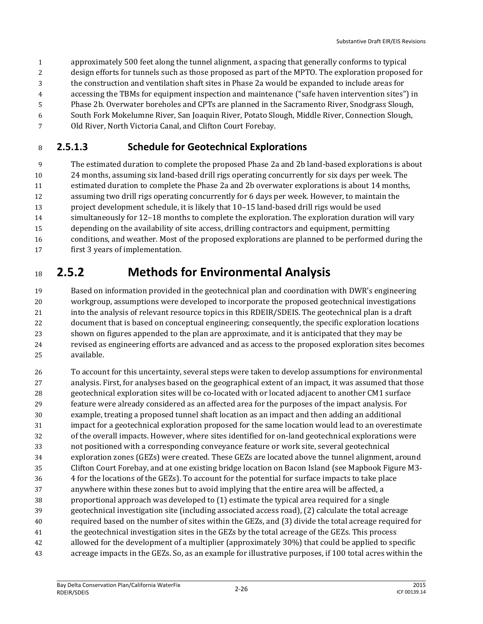- approximately 500 feet along the tunnel alignment, a spacing that generally conforms to typical
- design efforts for tunnels such as those proposed as part of the MPTO. The exploration proposed for
- the construction and ventilation shaft sites in Phase 2a would be expanded to include areas for
- accessing the TBMs for equipment inspection and maintenance ("safe haven intervention sites") in
- Phase 2b. Overwater boreholes and CPTs are planned in the Sacramento River, Snodgrass Slough,
- South Fork Mokelumne River, San Joaquin River, Potato Slough, Middle River, Connection Slough,
- Old River, North Victoria Canal, and Clifton Court Forebay.

#### **2.5.1.3 Schedule for Geotechnical Explorations**

 The estimated duration to complete the proposed Phase 2a and 2b land-based explorations is about 24 months, assuming six land-based drill rigs operating concurrently for six days per week. The estimated duration to complete the Phase 2a and 2b overwater explorations is about 14 months, assuming two drill rigs operating concurrently for 6 days per week. However, to maintain the project development schedule, it is likely that 10–15 land-based drill rigs would be used simultaneously for 12–18 months to complete the exploration. The exploration duration will vary depending on the availability of site access, drilling contractors and equipment, permitting conditions, and weather. Most of the proposed explorations are planned to be performed during the first 3 years of implementation.

# **2.5.2 Methods for Environmental Analysis**

 Based on information provided in the geotechnical plan and coordination with DWR's engineering workgroup, assumptions were developed to incorporate the proposed geotechnical investigations into the analysis of relevant resource topics in this RDEIR/SDEIS. The geotechnical plan is a draft document that is based on conceptual engineering; consequently, the specific exploration locations shown on figures appended to the plan are approximate, and it is anticipated that they may be revised as engineering efforts are advanced and as access to the proposed exploration sites becomes available.

 To account for this uncertainty, several steps were taken to develop assumptions for environmental analysis. First, for analyses based on the geographical extent of an impact, it was assumed that those geotechnical exploration sites will be co-located with or located adjacent to another CM1 surface feature were already considered as an affected area for the purposes of the impact analysis. For example, treating a proposed tunnel shaft location as an impact and then adding an additional impact for a geotechnical exploration proposed for the same location would lead to an overestimate of the overall impacts. However, where sites identified for on-land geotechnical explorations were not positioned with a corresponding conveyance feature or work site, several geotechnical exploration zones (GEZs) were created. These GEZs are located above the tunnel alignment, around Clifton Court Forebay, and at one existing bridge location on Bacon Island (see Mapbook Figure M3- 4 for the locations of the GEZs). To account for the potential for surface impacts to take place anywhere within these zones but to avoid implying that the entire area will be affected, a proportional approach was developed to (1) estimate the typical area required for a single geotechnical investigation site (including associated access road), (2) calculate the total acreage required based on the number of sites within the GEZs, and (3) divide the total acreage required for the geotechnical investigation sites in the GEZs by the total acreage of the GEZs. This process allowed for the development of a multiplier (approximately 30%) that could be applied to specific acreage impacts in the GEZs. So, as an example for illustrative purposes, if 100 total acres within the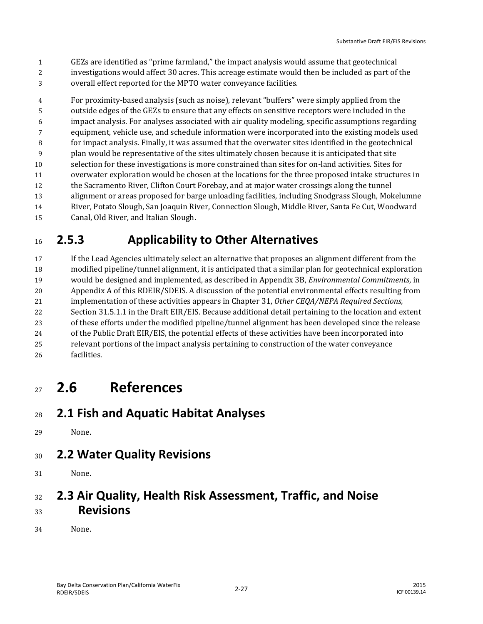- GEZs are identified as "prime farmland," the impact analysis would assume that geotechnical
- investigations would affect 30 acres. This acreage estimate would then be included as part of the
- overall effect reported for the MPTO water conveyance facilities.

 For proximity-based analysis (such as noise), relevant "buffers" were simply applied from the outside edges of the GEZs to ensure that any effects on sensitive receptors were included in the impact analysis. For analyses associated with air quality modeling, specific assumptions regarding equipment, vehicle use, and schedule information were incorporated into the existing models used for impact analysis. Finally, it was assumed that the overwater sites identified in the geotechnical plan would be representative of the sites ultimately chosen because it is anticipated that site selection for these investigations is more constrained than sites for on-land activities. Sites for overwater exploration would be chosen at the locations for the three proposed intake structures in the Sacramento River, Clifton Court Forebay, and at major water crossings along the tunnel alignment or areas proposed for barge unloading facilities, including Snodgrass Slough, Mokelumne River, Potato Slough, San Joaquin River, Connection Slough, Middle River, Santa Fe Cut, Woodward Canal, Old River, and Italian Slough.

# **2.5.3 Applicability to Other Alternatives**

 If the Lead Agencies ultimately select an alternative that proposes an alignment different from the modified pipeline/tunnel alignment, it is anticipated that a similar plan for geotechnical exploration would be designed and implemented, as described in Appendix 3B, *Environmental Commitments*, in Appendix A of this RDEIR/SDEIS*.* A discussion of the potential environmental effects resulting from implementation of these activities appears in Chapter 31, *Other CEQA/NEPA Required Sections,* Section 31.5.1.1 in the Draft EIR/EIS. Because additional detail pertaining to the location and extent of these efforts under the modified pipeline/tunnel alignment has been developed since the release of the Public Draft EIR/EIS, the potential effects of these activities have been incorporated into relevant portions of the impact analysis pertaining to construction of the water conveyance facilities.

# **2.6 References**

#### **2.1 Fish and Aquatic Habitat Analyses**

None.

#### **2.2 Water Quality Revisions**

None.

#### **2.3 Air Quality, Health Risk Assessment, Traffic, and Noise Revisions**

None.